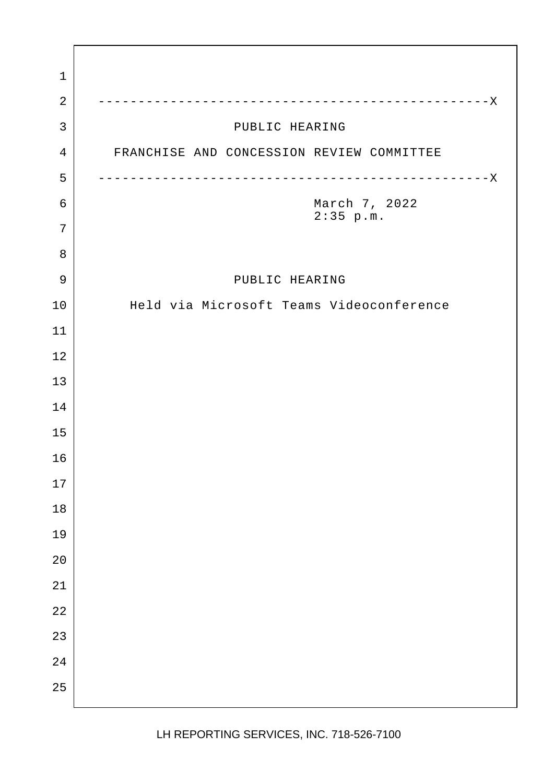2 -------------------------------------------------X 3 DUBLIC HEARING 4 FRANCHISE AND CONCESSION REVIEW COMMITTEE 5 -------------------------------------------------X 6 March 7, 2022 2:35 p.m. 9 PUBLIC HEARING 10 | Held via Microsoft Teams Videoconference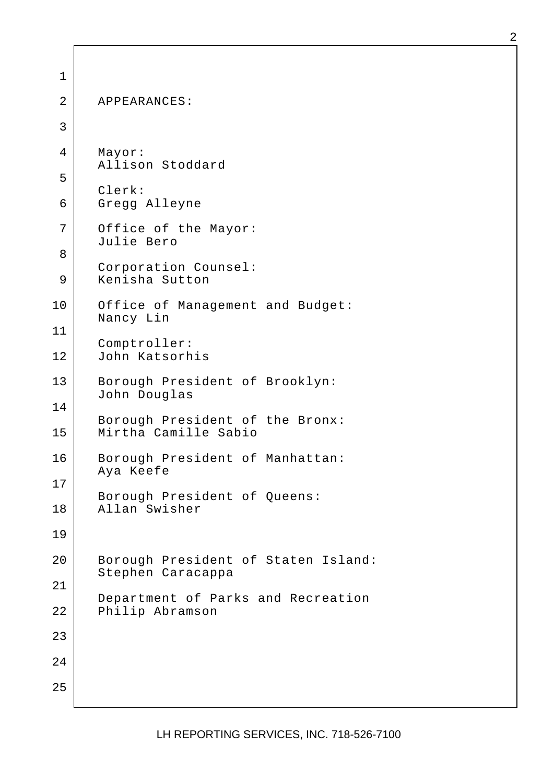1 2 APPEARANCES: 3 4 Mayor: Allison Stoddard 5 Clerk: 6 Gregg Alleyne 7 Office of the Mayor: Julie Bero 8 Corporation Counsel: 9 Kenisha Sutton 10 Office of Management and Budget: Nancy Lin 11 Comptroller: 12 John Katsorhis 13 | Borough President of Brooklyn: John Douglas 14 Borough President of the Bronx: 15 Mirtha Camille Sabio 16 | Borough President of Manhattan: Aya Keefe 17 Borough President of Queens: 18 Allan Swisher 19 20 | Borough President of Staten Island: Stephen Caracappa 21 Department of Parks and Recreation 22 Philip Abramson 23 24 25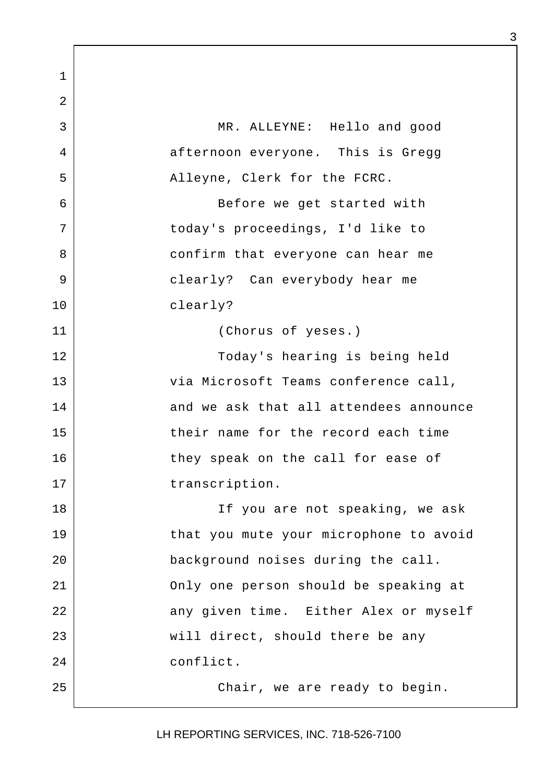1 2 3 MR. ALLEYNE: Hello and good 4 afternoon everyone. This is Gregg 5 Alleyne, Clerk for the FCRC. 6 | Sefore we get started with 7 today's proceedings, I'd like to 8 | Confirm that everyone can hear me 9 clearly? Can everybody hear me 10 clearly? 11 (Chorus of yeses.) 12 Today's hearing is being held 13 via Microsoft Teams conference call, 14 and we ask that all attendees announce 15 their name for the record each time 16 they speak on the call for ease of 17 transcription. 18 | The Vou are not speaking, we ask 19 that you mute your microphone to avoid 20 background noises during the call. 21 Only one person should be speaking at 22 any given time. Either Alex or myself 23 | will direct, should there be any 24 conflict. 25 Chair, we are ready to begin.

3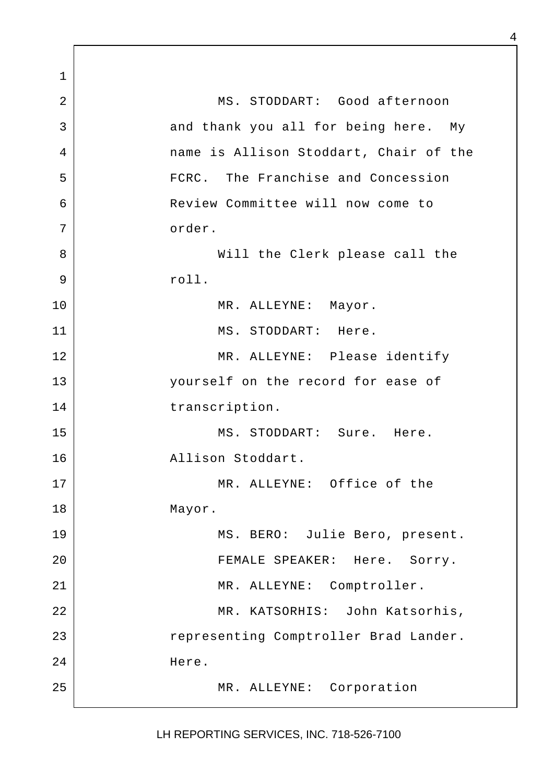1 2 MS. STODDART: Good afternoon 3 and thank you all for being here. My 4 name is Allison Stoddart, Chair of the 5 | FCRC. The Franchise and Concession 6 Review Committee will now come to 7 order. 8 Will the Clerk please call the 9 roll. 10 | MR. ALLEYNE: Mayor. 11 MS. STODDART: Here. 12 MR. ALLEYNE: Please identify 13 yourself on the record for ease of 14 transcription. 15 MS. STODDART: Sure. Here. 16 Allison Stoddart. 17 MR. ALLEYNE: Office of the 18 Mayor. 19 MS. BERO: Julie Bero, present. 20 | FEMALE SPEAKER: Here. Sorry. 21 MR. ALLEYNE: Comptroller. 22 | KR. KATSORHIS: John Katsorhis, 23 | representing Comptroller Brad Lander. 24 Here. 25 MR. ALLEYNE: Corporation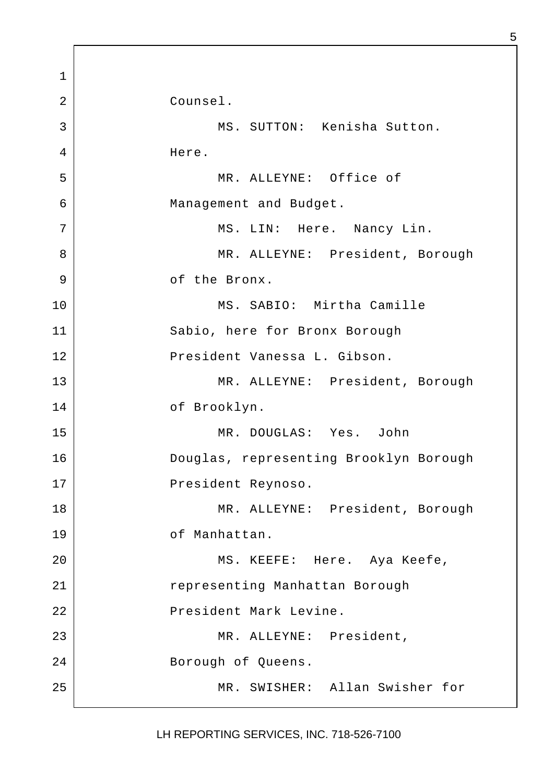1 2 Counsel. 3 MS. SUTTON: Kenisha Sutton. 4 Here. 5 MR. ALLEYNE: Office of 6 Management and Budget. 7 | MS. LIN: Here. Nancy Lin. 8 | MR. ALLEYNE: President, Borough 9 of the Bronx. 10 | MS. SABIO: Mirtha Camille 11 Sabio, here for Bronx Borough 12 | President Vanessa L. Gibson. 13 MR. ALLEYNE: President, Borough 14 of Brooklyn. 15 MR. DOUGLAS: Yes. John 16 Douglas, representing Brooklyn Borough 17 President Reynoso. 18 | MR. ALLEYNE: President, Borough 19 of Manhattan. 20 | MS. KEEFE: Here. Aya Keefe, 21 Tepresenting Manhattan Borough 22 | The President Mark Levine. 23 MR. ALLEYNE: President, 24 Borough of Queens. 25 MR. SWISHER: Allan Swisher for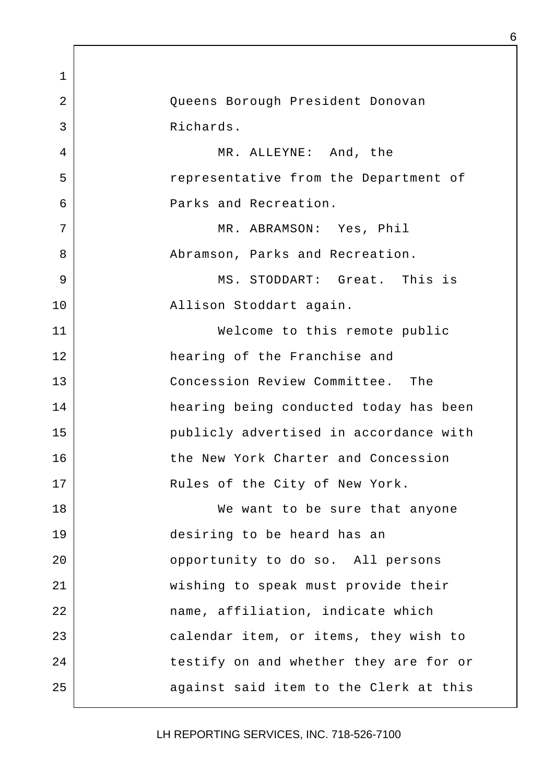1 2 Queens Borough President Donovan 3 Richards. 4 MR. ALLEYNE: And, the 5 | Tepresentative from the Department of 6 Parks and Recreation. 7 MR. ABRAMSON: Yes, Phil 8 | Recreation, Parks and Recreation. 9 MS. STODDART: Great. This is 10 Allison Stoddart again. 11 Welcome to this remote public 12 hearing of the Franchise and 13 Concession Review Committee. The 14 hearing being conducted today has been 15 publicly advertised in accordance with 16 the New York Charter and Concession 17 | Rules of the City of New York. 18 | We want to be sure that anyone 19 desiring to be heard has an 20 **phone** opportunity to do so. All persons 21 wishing to speak must provide their 22 | mame, affiliation, indicate which 23 calendar item, or items, they wish to 24 | testify on and whether they are for or 25 against said item to the Clerk at this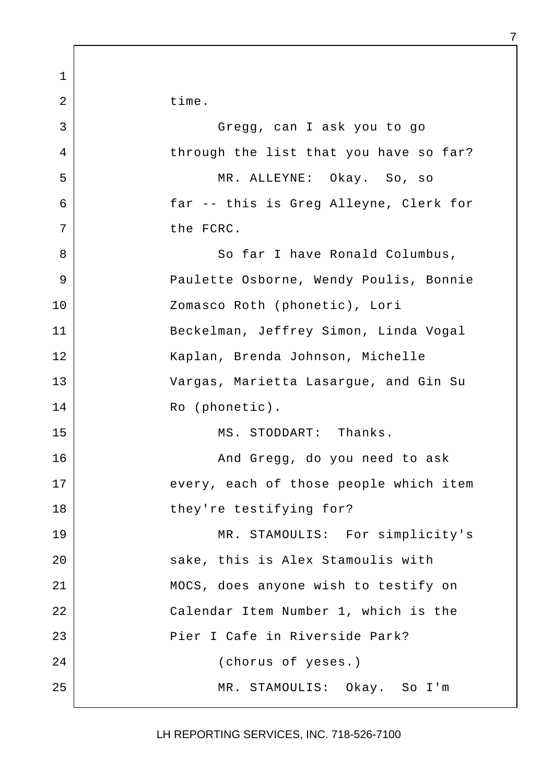1 2 time. 3 Gregg, can I ask you to go 4 through the list that you have so far? 5 MR. ALLEYNE: Okay. So, so 6 far -- this is Greg Alleyne, Clerk for 7 the FCRC. 8 | So far I have Ronald Columbus, 9 | Paulette Osborne, Wendy Poulis, Bonnie 10 | Zomasco Roth (phonetic), Lori 11 Beckelman, Jeffrey Simon, Linda Vogal 12 Kaplan, Brenda Johnson, Michelle 13 Vargas, Marietta Lasargue, and Gin Su 14 Ro (phonetic). 15 MS. STODDART: Thanks. 16 | Kanad Gregg, do you need to ask 17 every, each of those people which item 18 they're testifying for? 19 MR. STAMOULIS: For simplicity's 20 sake, this is Alex Stamoulis with 21 MOCS, does anyone wish to testify on 22 Calendar Item Number 1, which is the 23 Pier I Cafe in Riverside Park? 24 (chorus of yeses.) 25 MR. STAMOULIS: Okay. So I'm

7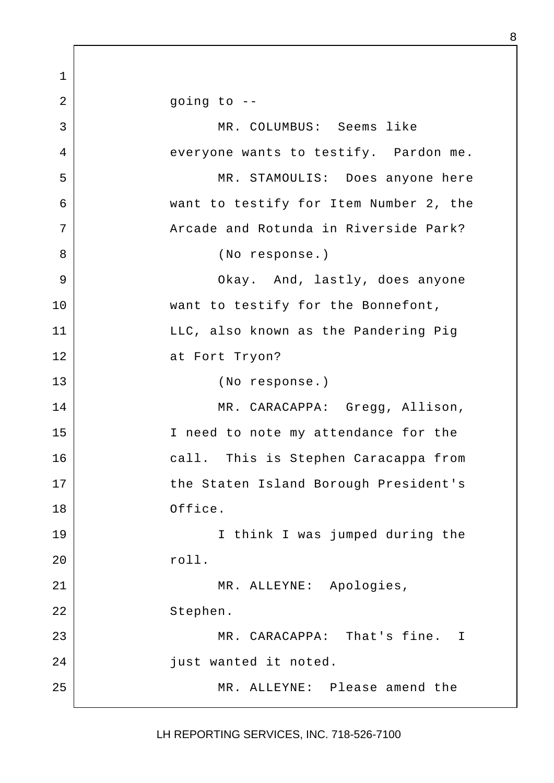1  $2$  |  $\qquad \qquad$  going to --3 MR. COLUMBUS: Seems like 4 everyone wants to testify. Pardon me. 5 MR. STAMOULIS: Does anyone here 6 want to testify for Item Number 2, the 7 | Arcade and Rotunda in Riverside Park? 8 (No response.) 9 | Chay. And, lastly, does anyone 10 want to testify for the Bonnefont, 11 | LLC, also known as the Pandering Pig 12 at Fort Tryon? 13 (No response.) 14 | MR. CARACAPPA: Gregg, Allison, 15 I need to note my attendance for the 16 call. This is Stephen Caracappa from 17 the Staten Island Borough President's 18 Office. 19 I think I was jumped during the 20 roll. 21 MR. ALLEYNE: Apologies, 22 Stephen. 23 MR. CARACAPPA: That's fine. I 24 | iust wanted it noted. 25 MR. ALLEYNE: Please amend the

LH REPORTING SERVICES, INC. 718-526-7100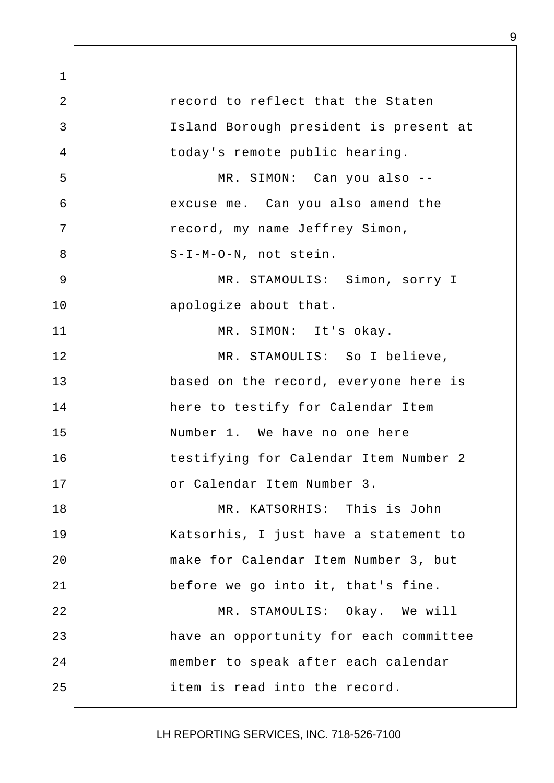1 2 record to reflect that the Staten 3 Island Borough president is present at 4 today's remote public hearing. 5 | MR. SIMON: Can you also --6 excuse me. Can you also amend the 7 | Tecord, my name Jeffrey Simon, 8 | S-I-M-O-N, not stein. 9 MR. STAMOULIS: Simon, sorry I 10 apologize about that. 11 MR. SIMON: It's okay. 12 MR. STAMOULIS: So I believe, 13 based on the record, everyone here is 14 here to testify for Calendar Item 15 Number 1. We have no one here 16 testifying for Calendar Item Number 2 17 or Calendar Item Number 3. 18 MR. KATSORHIS: This is John 19 Katsorhis, I just have a statement to 20 make for Calendar Item Number 3, but 21 before we go into it, that's fine. 22 MR. STAMOULIS: Okay. We will 23 have an opportunity for each committee 24 member to speak after each calendar 25 item is read into the record.

LH REPORTING SERVICES, INC. 718-526-7100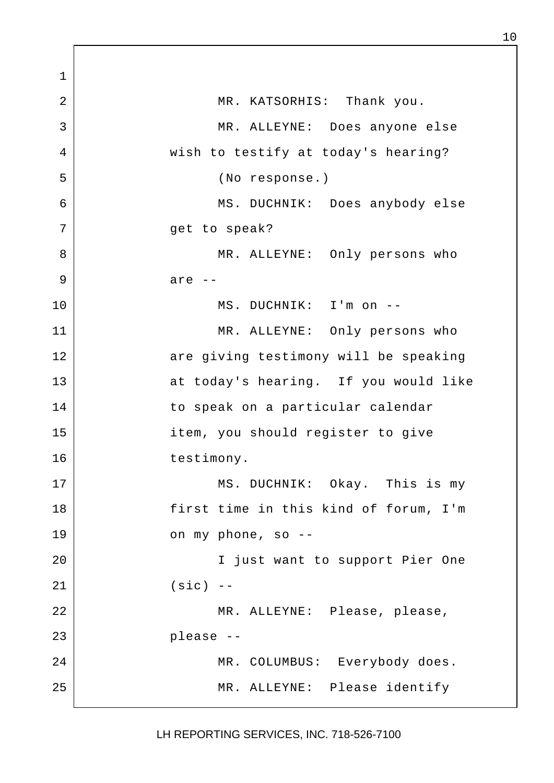1 2 MR. KATSORHIS: Thank you. 3 MR. ALLEYNE: Does anyone else 4 wish to testify at today's hearing? 5 (No response.) 6 MS. DUCHNIK: Does anybody else 7 | Get to speak? 8 MR. ALLEYNE: Only persons who 9 are --10 MS. DUCHNIK: I'm on -- 11 MR. ALLEYNE: Only persons who 12 are giving testimony will be speaking 13 at today's hearing. If you would like 14 to speak on a particular calendar 15 item, you should register to give 16 testimony. 17 MS. DUCHNIK: Okay. This is my 18 first time in this kind of forum, I'm 19 on my phone, so -- 20 I just want to support Pier One 21 (sic) -- 22 | MR. ALLEYNE: Please, please, 23 please -- 24 | MR. COLUMBUS: Everybody does. 25 MR. ALLEYNE: Please identify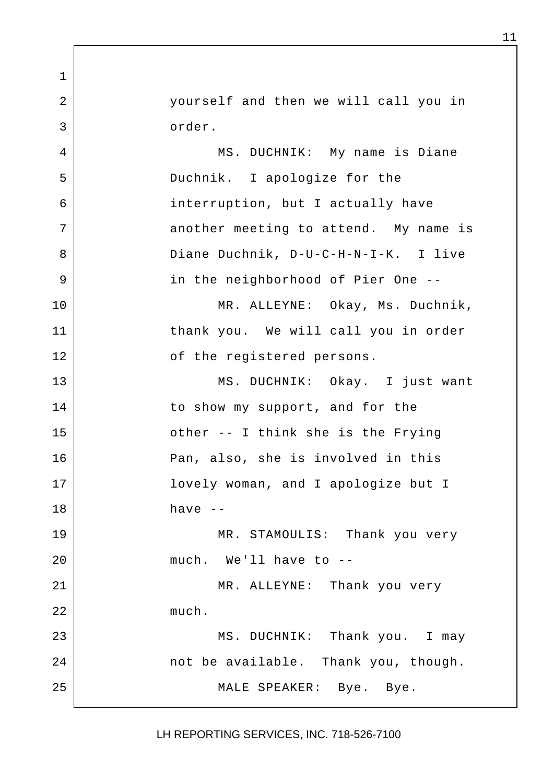2 yourself and then we will call you in 3 order.

1

4 MS. DUCHNIK: My name is Diane 5 Duchnik. I apologize for the 6 interruption, but I actually have 7 another meeting to attend. My name is 8 Diane Duchnik, D-U-C-H-N-I-K. I live 9 | The neighborhood of Pier One --10 | MR. ALLEYNE: Okay, Ms. Duchnik, 11 thank you. We will call you in order 12 of the registered persons. 13 MS. DUCHNIK: Okay. I just want 14 | to show my support, and for the 15 other -- I think she is the Frying 16 Pan, also, she is involved in this 17 lovely woman, and I apologize but I  $18$  have  $-$ 19 MR. STAMOULIS: Thank you very 20 much. We'll have to -- 21 MR. ALLEYNE: Thank you very 22 much. 23 | MS. DUCHNIK: Thank you. I may 24 not be available. Thank you, though. 25 | MALE SPEAKER: Bye. Bye.

LH REPORTING SERVICES, INC. 718-526-7100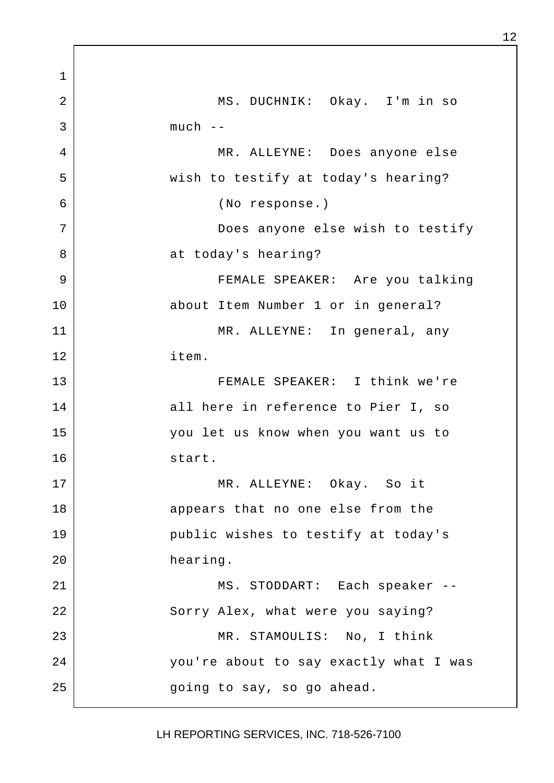1 2 MS. DUCHNIK: Okay. I'm in so  $3$  much  $-$ 4 MR. ALLEYNE: Does anyone else 5 | wish to testify at today's hearing? 6 (No response.) 7 Does anyone else wish to testify 8 at today's hearing? 9 FEMALE SPEAKER: Are you talking 10 about Item Number 1 or in general? 11 MR. ALLEYNE: In general, any 12 item. 13 FEMALE SPEAKER: I think we're 14 all here in reference to Pier I, so 15 you let us know when you want us to 16 start. 17 MR. ALLEYNE: Okay. So it 18 appears that no one else from the 19 public wishes to testify at today's 20 hearing. 21 MS. STODDART: Each speaker --22 Sorry Alex, what were you saying? 23 MR. STAMOULIS: No, I think 24 | vou're about to say exactly what I was 25 | external going to say, so go ahead.

LH REPORTING SERVICES, INC. 718-526-7100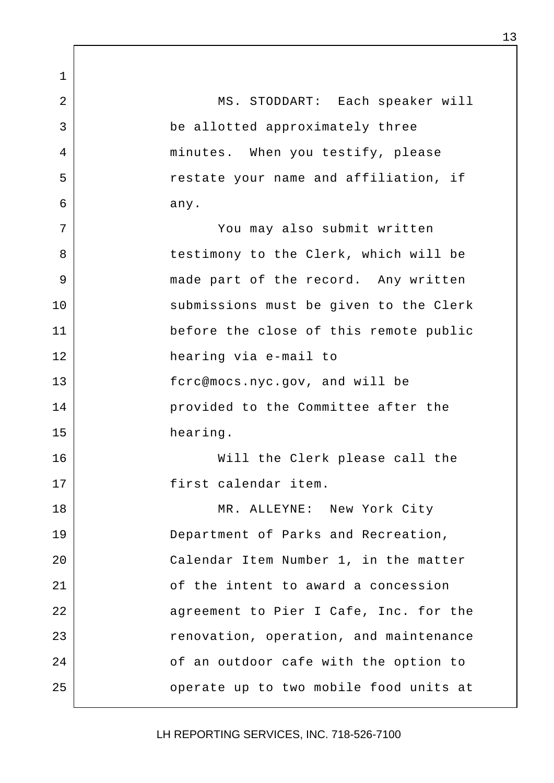1 2 | MS. STODDART: Each speaker will 3 be allotted approximately three 4 minutes. When you testify, please 5 | Testate your name and affiliation, if  $6$  any. 7 You may also submit written 8 stestimony to the Clerk, which will be 9 | made part of the record. Any written 10 | Submissions must be given to the Clerk 11 before the close of this remote public 12 hearing via e-mail to 13 fcrc@mocs.nyc.gov, and will be 14 provided to the Committee after the 15 hearing. 16 Will the Clerk please call the 17 first calendar item. 18 | MR. ALLEYNE: New York City 19 Department of Parks and Recreation, 20 Calendar Item Number 1, in the matter 21 of the intent to award a concession 22 agreement to Pier I Cafe, Inc. for the 23 | Tenovation, operation, and maintenance 24 **1** of an outdoor cafe with the option to 25 | Comperate up to two mobile food units at

LH REPORTING SERVICES, INC. 718-526-7100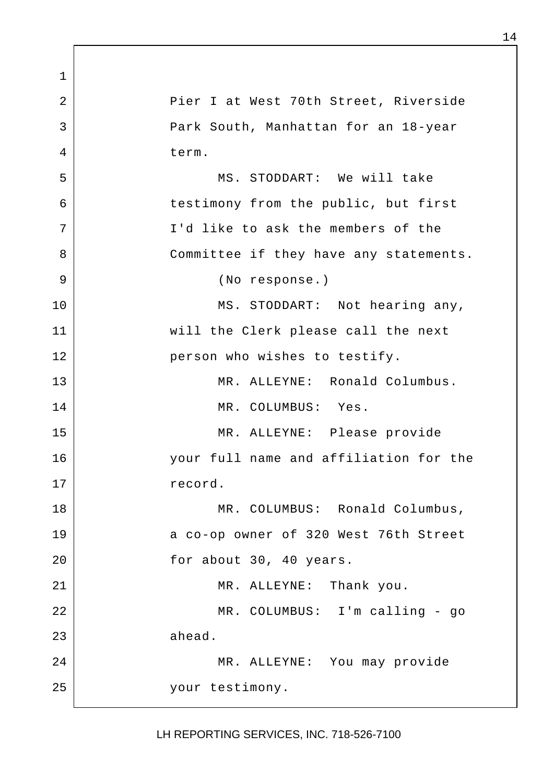1 2 Pier I at West 70th Street, Riverside 3 Park South, Manhattan for an 18-year 4 term. 5 MS. STODDART: We will take 6 testimony from the public, but first 7 | T'd like to ask the members of the 8 Committee if they have any statements. 9 (No response.) 10 | MS. STODDART: Not hearing any, 11 will the Clerk please call the next 12 person who wishes to testify. 13 MR. ALLEYNE: Ronald Columbus. 14 MR. COLUMBUS: Yes. 15 MR. ALLEYNE: Please provide 16 your full name and affiliation for the 17 record. 18 MR. COLUMBUS: Ronald Columbus, 19 a co-op owner of 320 West 76th Street 20 for about 30, 40 years. 21 MR. ALLEYNE: Thank you. 22 | MR. COLUMBUS: I'm calling - go  $23$  ahead. 24 MR. ALLEYNE: You may provide 25 your testimony.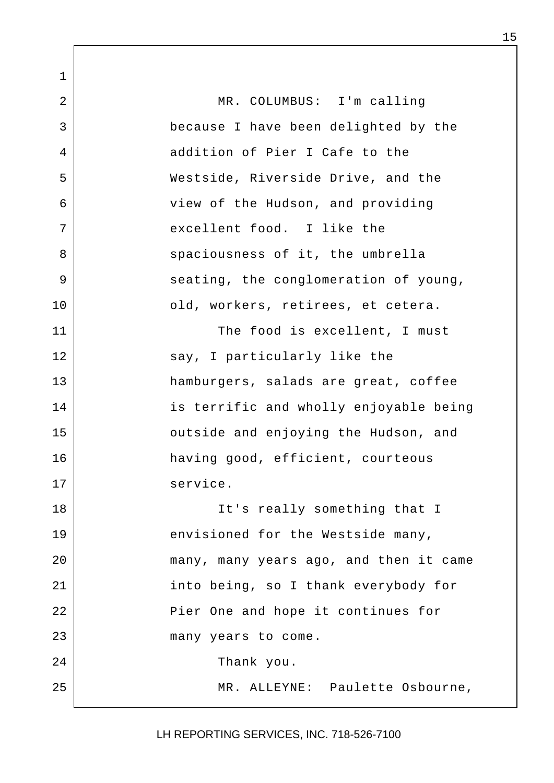1 2 | MR. COLUMBUS: I'm calling 3 because I have been delighted by the 4 addition of Pier I Cafe to the 5 Westside, Riverside Drive, and the 6 view of the Hudson, and providing 7 | excellent food. I like the 8 spaciousness of it, the umbrella 9 seating, the conglomeration of young, 10 | cld, workers, retirees, et cetera. 11 The food is excellent, I must 12 say, I particularly like the 13 hamburgers, salads are great, coffee 14 | is terrific and wholly enjoyable being 15 | Coutside and enjoying the Hudson, and 16 having good, efficient, courteous 17 service. 18 | Tt's really something that I 19 envisioned for the Westside many, 20 many, many years ago, and then it came 21 into being, so I thank everybody for 22 | Pier One and hope it continues for 23 many years to come. 24 Thank you. 25 | MR. ALLEYNE: Paulette Osbourne,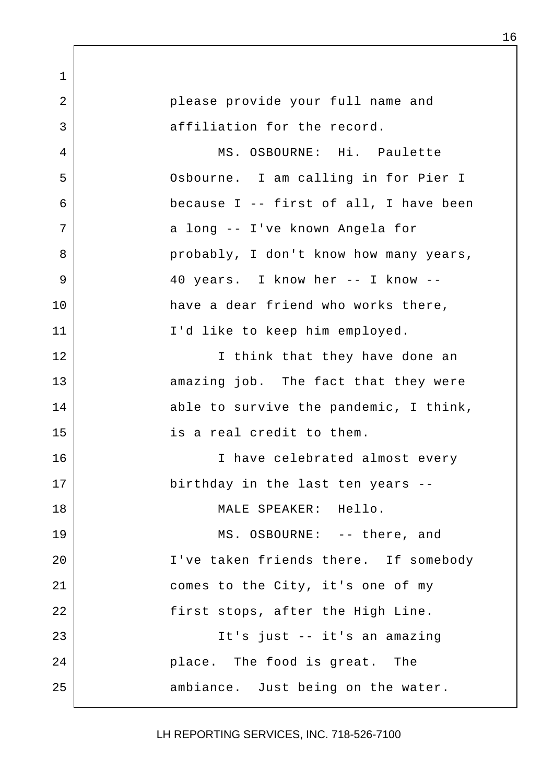1 2 | please provide your full name and 3 affiliation for the record. 4 MS. OSBOURNE: Hi. Paulette 5 Osbourne. I am calling in for Pier I 6 because I -- first of all, I have been 7 a long -- I've known Angela for 8 | external probably, I don't know how many years, 9 | 40 years. I know her -- I know --10 have a dear friend who works there, 11 | I'd like to keep him employed. 12 | Think that they have done an 13 amazing job. The fact that they were 14 able to survive the pandemic, I think, 15 is a real credit to them. 16 | Thave celebrated almost every 17 birthday in the last ten years --18 MALE SPEAKER: Hello. 19 MS. OSBOURNE: -- there, and 20 | T've taken friends there. If somebody 21 comes to the City, it's one of my 22 | first stops, after the High Line. 23 It's just -- it's an amazing 24 **place.** The food is great. The 25 ambiance. Just being on the water.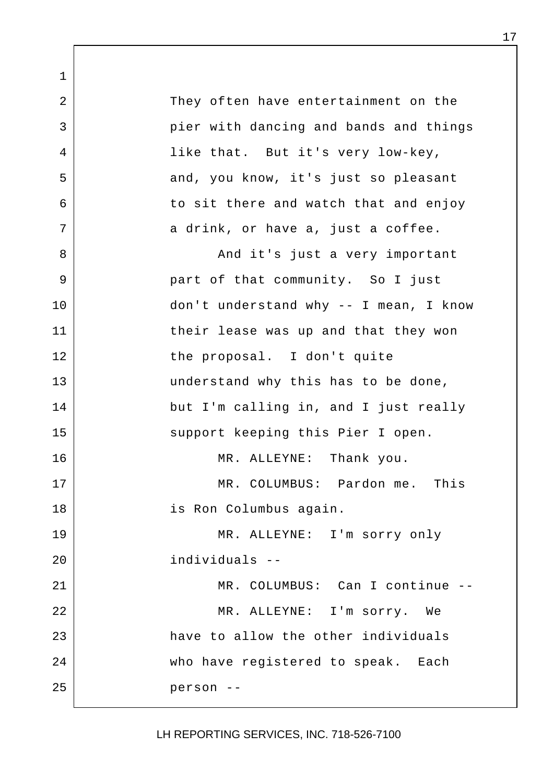1 2 They often have entertainment on the 3 | pier with dancing and bands and things 4 like that. But it's very low-key, 5 and, you know, it's just so pleasant 6 to sit there and watch that and enjoy  $7$  a drink, or have a, just a coffee. 8 | Construction and it's just a very important 9 | Part of that community. So I just 10 don't understand why -- I mean, I know 11 their lease was up and that they won 12 the proposal. I don't quite 13 understand why this has to be done, 14 but I'm calling in, and I just really 15 | Support keeping this Pier I open. 16 MR. ALLEYNE: Thank you. 17 MR. COLUMBUS: Pardon me. This 18 | is Ron Columbus again. 19 MR. ALLEYNE: I'm sorry only 20 individuals -- 21 MR. COLUMBUS: Can I continue --22 | MR. ALLEYNE: I'm sorry. We 23 have to allow the other individuals 24 who have registered to speak. Each 25 person --

LH REPORTING SERVICES, INC. 718-526-7100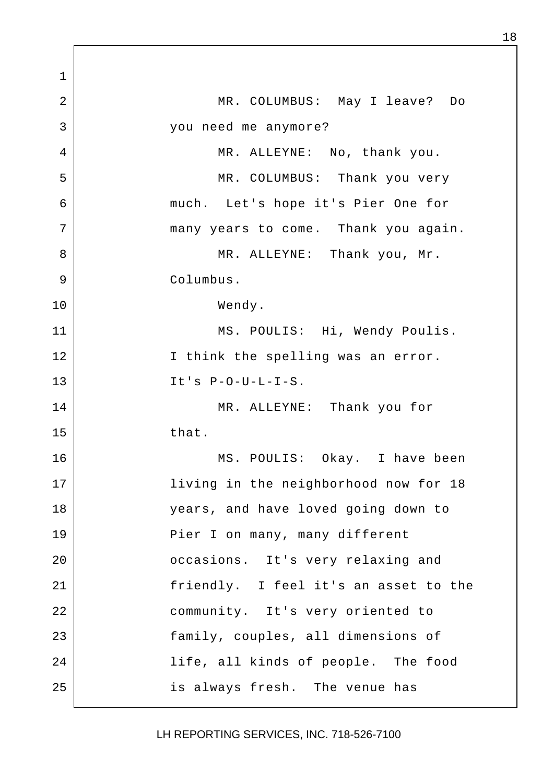1 2 MR. COLUMBUS: May I leave? Do 3 you need me anymore? 4 MR. ALLEYNE: No, thank you. 5 | MR. COLUMBUS: Thank you very 6 much. Let's hope it's Pier One for 7 | many years to come. Thank you again. 8 | MR. ALLEYNE: Thank you, Mr. 9 Columbus. 10 Wendy. 11 MS. POULIS: Hi, Wendy Poulis. 12 | Think the spelling was an error.  $13$  It's P-O-U-L-I-S. 14 MR. ALLEYNE: Thank you for  $15$  that. 16 MS. POULIS: Okay. I have been 17 | living in the neighborhood now for 18 18 years, and have loved going down to 19 | Pier I on many, many different 20 **casions.** It's very relaxing and 21 | Triendly. I feel it's an asset to the 22 community. It's very oriented to 23 family, couples, all dimensions of 24 | The state of people. The food 25 is always fresh. The venue has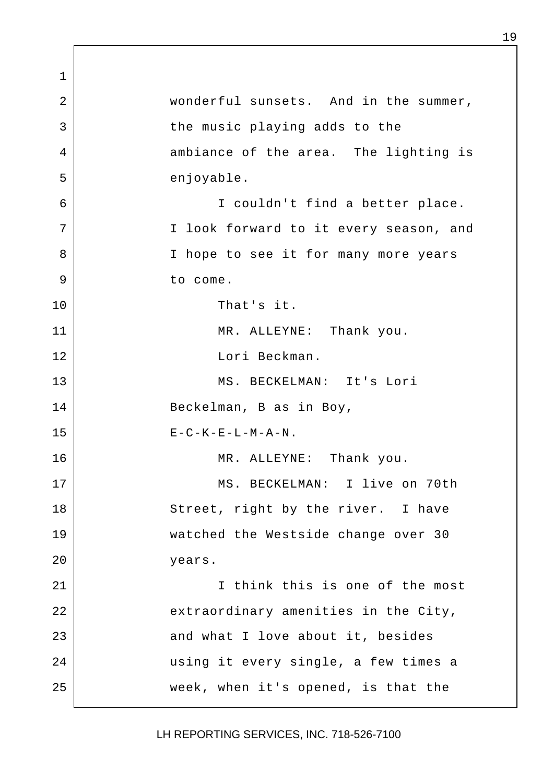1 2 | wonderful sunsets. And in the summer, 3 | the music playing adds to the 4 ambiance of the area. The lighting is 5 enjoyable. 6 I couldn't find a better place. 7 | The I look forward to it every season, and 8 | Thope to see it for many more years 9 to come. 10 That's it. 11 MR. ALLEYNE: Thank you. 12 Lori Beckman. 13 MS. BECKELMAN: It's Lori 14 Beckelman, B as in Boy,  $15$   $E-C-K-E-L-M-A-N$ . 16 | MR. ALLEYNE: Thank you. 17 MS. BECKELMAN: I live on 70th 18 Street, right by the river. I have 19 watched the Westside change over 30 20 years. 21 I think this is one of the most 22 extraordinary amenities in the City, 23 and what I love about it, besides 24 | waing it every single, a few times a 25 week, when it's opened, is that the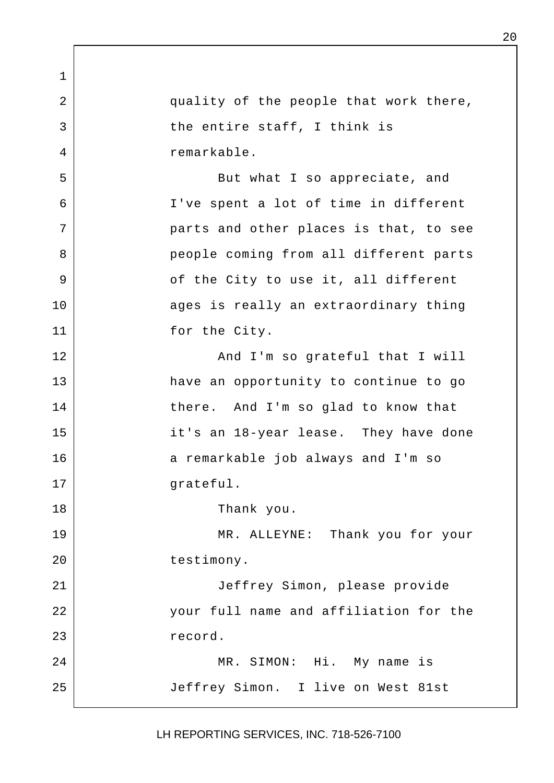1 2 quality of the people that work there, 3 bhe entire staff, I think is 4 remarkable. 5 | Some But what I so appreciate, and 6 I've spent a lot of time in different 7 parts and other places is that, to see 8 | People coming from all different parts 9 | cf the City to use it, all different 10 ages is really an extraordinary thing 11 for the City. 12 | Rand I'm so grateful that I will 13 have an opportunity to continue to go 14 there. And I'm so glad to know that 15 it's an 18-year lease. They have done 16 a remarkable job always and I'm so 17 | grateful. 18 Thank you. 19 MR. ALLEYNE: Thank you for your 20 testimony. 21 | Jeffrey Simon, please provide 22 your full name and affiliation for the 23 record. 24 MR. SIMON: Hi. My name is 25 Jeffrey Simon. I live on West 81st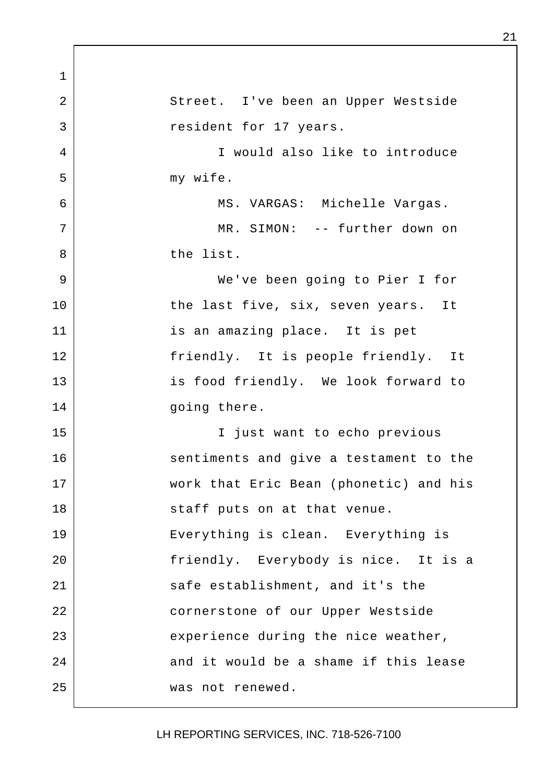1 2 Street. I've been an Upper Westside 3 and 3 resident for 17 years. 4 I would also like to introduce 5 my wife. 6 | KS. VARGAS: Michelle Vargas. 7 | MR. SIMON: -- further down on 8 the list. 9 We've been going to Pier I for 10 the last five, six, seven years. It 11 is an amazing place. It is pet 12 | Triendly. It is people friendly. It 13 | is food friendly. We look forward to 14 going there. 15 I just want to echo previous 16 sentiments and give a testament to the 17 work that Eric Bean (phonetic) and his 18 | Staff puts on at that venue. 19 Everything is clean. Everything is 20 | Triendly. Everybody is nice. It is a 21 safe establishment, and it's the 22 | cornerstone of our Upper Westside 23 experience during the nice weather, 24 and it would be a shame if this lease 25 was not renewed.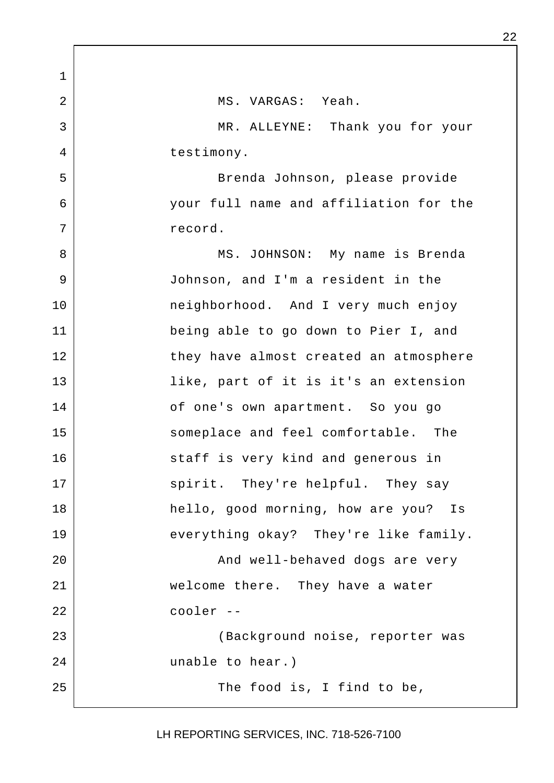1 2 MS. VARGAS: Yeah. 3 MR. ALLEYNE: Thank you for your 4 bestimony. 5 Brenda Johnson, please provide 6 your full name and affiliation for the 7 record. 8 | MS. JOHNSON: My name is Brenda 9 Johnson, and I'm a resident in the 10 | meighborhood. And I very much enjoy 11 being able to go down to Pier I, and 12 | they have almost created an atmosphere 13 like, part of it is it's an extension 14 of one's own apartment. So you go 15 someplace and feel comfortable. The 16 staff is very kind and generous in 17 | spirit. They're helpful. They say 18 hello, good morning, how are you? Is 19 everything okay? They're like family. 20 | Richard Mand well-behaved dogs are very 21 welcome there. They have a water 22 cooler -- 23 (Background noise, reporter was 24 unable to hear.) 25 The food is, I find to be,

LH REPORTING SERVICES, INC. 718-526-7100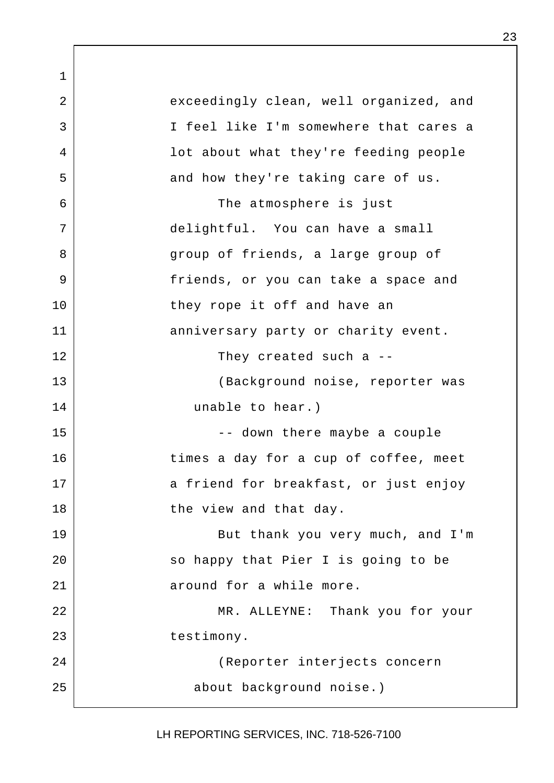1 2 exceedingly clean, well organized, and 3 I feel like I'm somewhere that cares a 4 lot about what they're feeding people 5 and how they're taking care of us. 6 The atmosphere is just 7 delightful. You can have a small 8 | qroup of friends, a large group of 9 | Triends, or you can take a space and 10 they rope it off and have an 11 anniversary party or charity event. 12 They created such a --13 | (Background noise, reporter was 14 unable to hear.) 15 -- down there maybe a couple 16 times a day for a cup of coffee, meet 17 a friend for breakfast, or just enjoy 18 | the view and that day. 19 But thank you very much, and I'm 20 | So happy that Pier I is going to be 21 around for a while more. 22 MR. ALLEYNE: Thank you for your 23 destimony. 24 (Reporter interjects concern 25 about background noise.)

LH REPORTING SERVICES, INC. 718-526-7100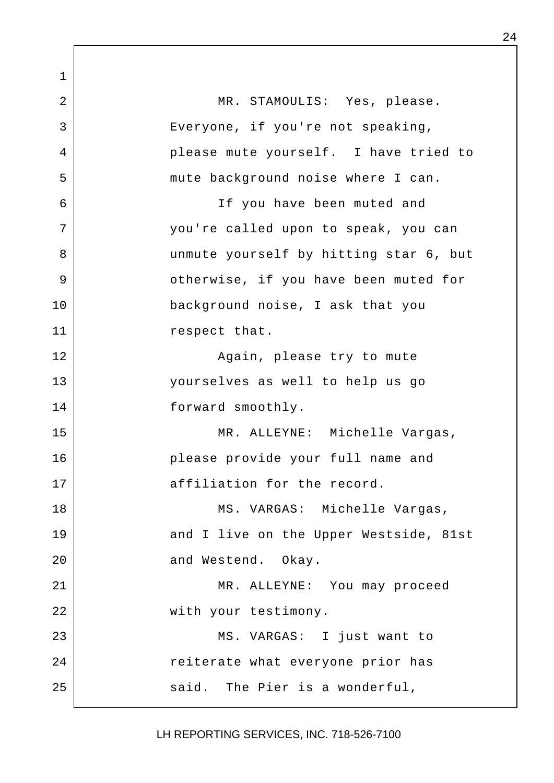1 2 MR. STAMOULIS: Yes, please. 3 | Everyone, if you're not speaking, 4 please mute yourself. I have tried to 5 | mute background noise where I can. 6 If you have been muted and 7 you're called upon to speak, you can 8 unmute yourself by hitting star 6, but 9 | Cherwise, if you have been muted for 10 background noise, I ask that you 11 respect that. 12 | Regain, please try to mute 13 yourselves as well to help us go 14 forward smoothly. 15 MR. ALLEYNE: Michelle Vargas, 16 please provide your full name and 17 affiliation for the record. 18 | MS. VARGAS: Michelle Vargas, 19 and I live on the Upper Westside, 81st 20 and Westend. Okay. 21 MR. ALLEYNE: You may proceed 22 with your testimony. 23 | MS. VARGAS: I just want to 24 | Teiterate what everyone prior has 25 said. The Pier is a wonderful,

LH REPORTING SERVICES, INC. 718-526-7100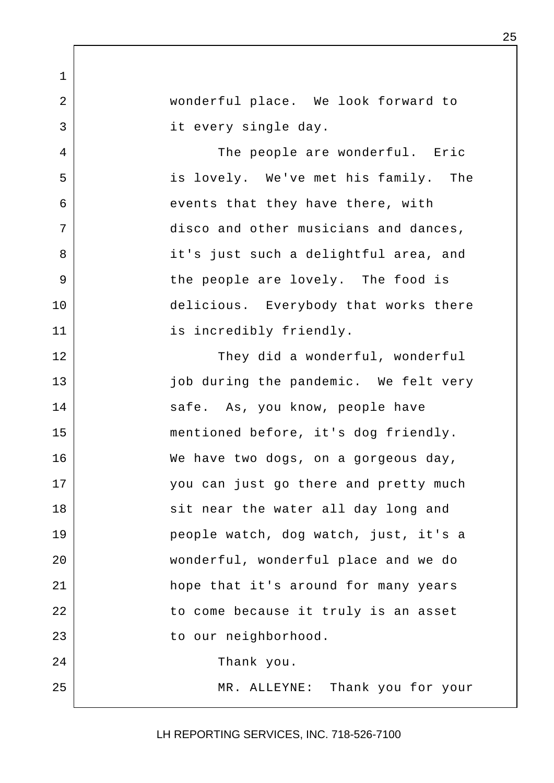2 wonderful place. We look forward to 3 it every single day.

1

4 The people are wonderful. Eric 5 is lovely. We've met his family. The 6 events that they have there, with 7 disco and other musicians and dances, 8 | it's just such a delightful area, and 9 | The people are lovely. The food is 10 delicious. Everybody that works there 11 is incredibly friendly.

12 | They did a wonderful, wonderful 13 | job during the pandemic. We felt very 14 safe. As, you know, people have 15 mentioned before, it's dog friendly. 16 We have two dogs, on a gorgeous day, 17 you can just go there and pretty much 18 | Sit near the water all day long and 19 people watch, dog watch, just, it's a 20 wonderful, wonderful place and we do 21 hope that it's around for many years 22 | to come because it truly is an asset 23 | to our neighborhood. 24 Thank you. 25 MR. ALLEYNE: Thank you for your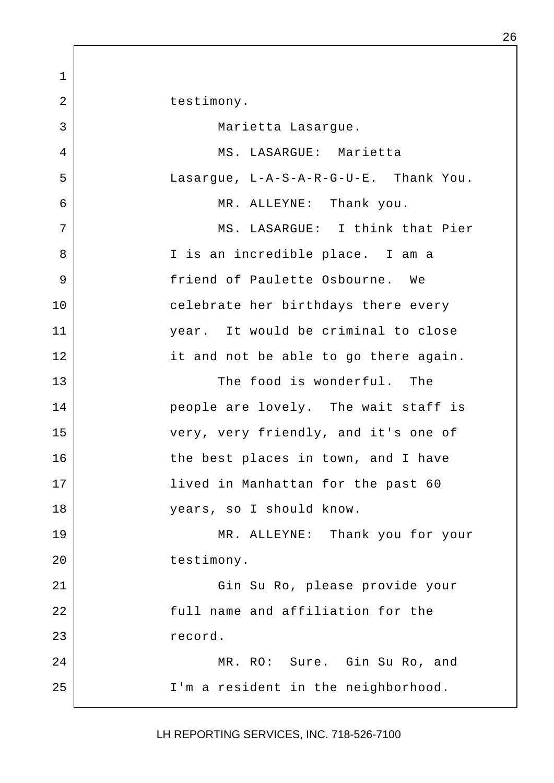1 2 | testimony. 3 | Marietta Lasarque. 4 MS. LASARGUE: Marietta 5 Lasargue, L-A-S-A-R-G-U-E. Thank You. 6 MR. ALLEYNE: Thank you. 7 | MS. LASARGUE: I think that Pier 8 | Tis an incredible place. I am a 9 friend of Paulette Osbourne. We 10 celebrate her birthdays there every 11 year. It would be criminal to close 12 it and not be able to go there again. 13 The food is wonderful. The 14 people are lovely. The wait staff is 15 very, very friendly, and it's one of 16 the best places in town, and I have 17 | lived in Manhattan for the past 60 18 years, so I should know. 19 MR. ALLEYNE: Thank you for your 20 | testimony. 21 Gin Su Ro, please provide your 22 | Tull name and affiliation for the 23 record. 24 MR. RO: Sure. Gin Su Ro, and 25 | I'm a resident in the neighborhood.

LH REPORTING SERVICES, INC. 718-526-7100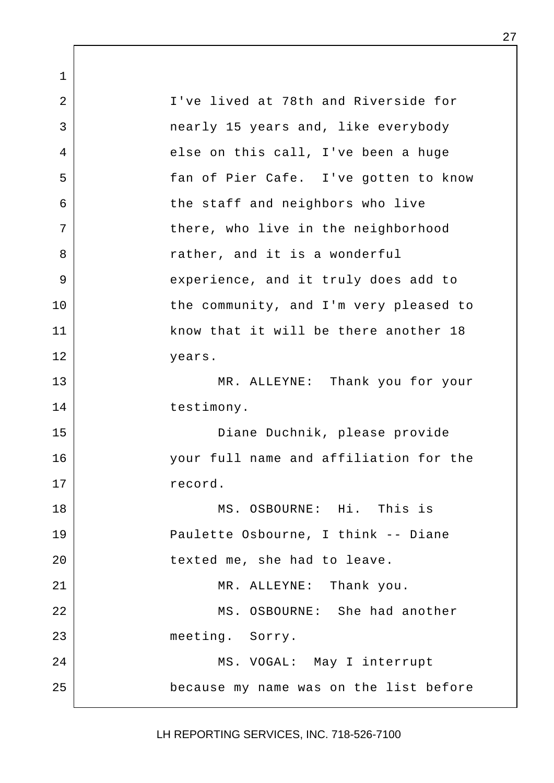1 2 I've lived at 78th and Riverside for 3 nearly 15 years and, like everybody 4 else on this call, I've been a huge 5 fan of Pier Cafe. I've gotten to know 6 b the staff and neighbors who live 7 | there, who live in the neighborhood 8 a sther, and it is a wonderful 9 experience, and it truly does add to 10 | the community, and I'm very pleased to 11 | know that it will be there another 18 12 years. 13 MR. ALLEYNE: Thank you for your 14 testimony. 15 Diane Duchnik, please provide 16 your full name and affiliation for the 17 record. 18 MS. OSBOURNE: Hi. This is 19 Paulette Osbourne, I think -- Diane 20 | texted me, she had to leave. 21 MR. ALLEYNE: Thank you. 22 MS. OSBOURNE: She had another 23 meeting. Sorry. 24 | MS. VOGAL: May I interrupt 25 because my name was on the list before

LH REPORTING SERVICES, INC. 718-526-7100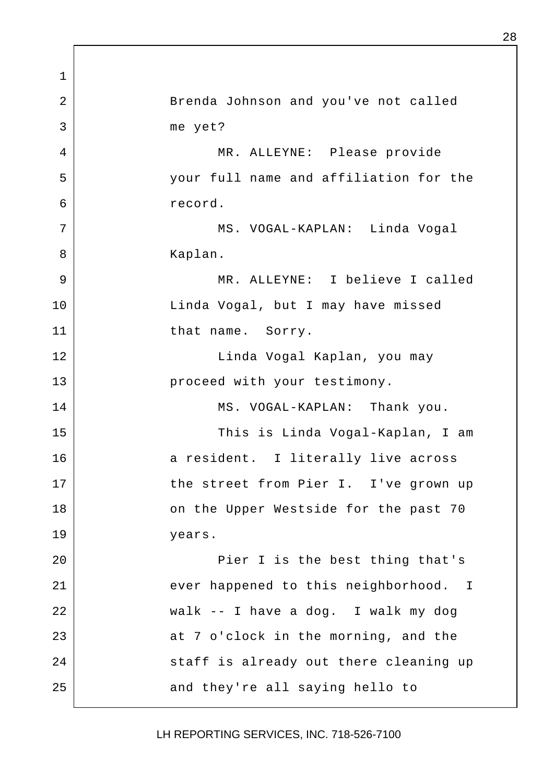1 2 Brenda Johnson and you've not called 3 me yet? 4 MR. ALLEYNE: Please provide 5 your full name and affiliation for the 6 record. 7 | MS. VOGAL-KAPLAN: Linda Voqal 8 | Kaplan. 9 MR. ALLEYNE: I believe I called 10 Linda Vogal, but I may have missed 11 that name. Sorry. 12 | Kaplan, you may 13 | proceed with your testimony. 14 MS. VOGAL-KAPLAN: Thank you. 15 | This is Linda Vogal-Kaplan, I am 16 a resident. I literally live across 17 | the street from Pier I. I've grown up 18 | Conthe Upper Westside for the past 70 19 years. 20 | Pier I is the best thing that's 21 ever happened to this neighborhood. I 22 walk -- I have a dog. I walk my dog 23 at 7 o'clock in the morning, and the 24 Staff is already out there cleaning up 25 and they're all saying hello to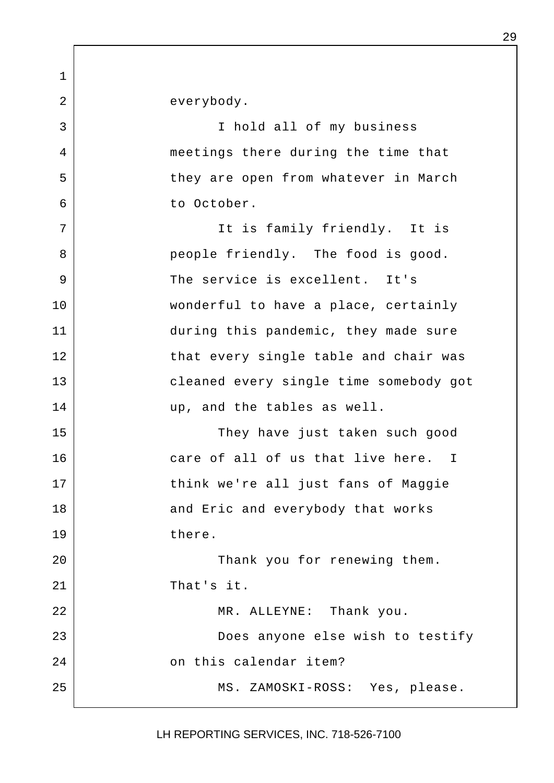1 2 everybody. 3 I hold all of my business 4 meetings there during the time that 5 | they are open from whatever in March 6 to October. 7 | The is family friendly. It is 8 | eople friendly. The food is good. 9 The service is excellent. It's 10 wonderful to have a place, certainly 11 during this pandemic, they made sure 12 that every single table and chair was 13 cleaned every single time somebody got 14 up, and the tables as well. 15 They have just taken such good 16 care of all of us that live here. I 17 think we're all just fans of Maggie 18 and Eric and everybody that works 19 there. 20 | Thank you for renewing them. 21 That's it. 22 MR. ALLEYNE: Thank you. 23 Does anyone else wish to testify 24 on this calendar item? 25 MS. ZAMOSKI-ROSS: Yes, please.

LH REPORTING SERVICES, INC. 718-526-7100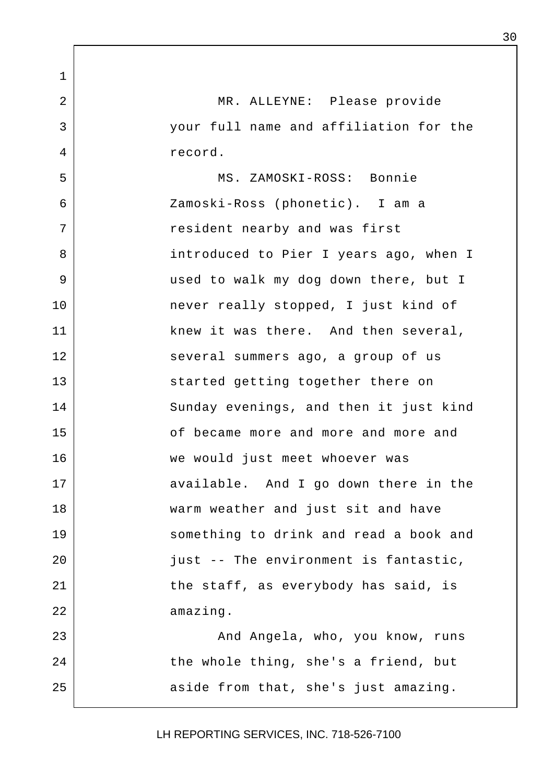1 2 MR. ALLEYNE: Please provide 3 your full name and affiliation for the 4 record. 5 MS. ZAMOSKI-ROSS: Bonnie 6 Zamoski-Ross (phonetic). I am a 7 | Tesident nearby and was first 8 | Southern Louis Counter Louis and Southern Town T 9 used to walk my dog down there, but I 10 never really stopped, I just kind of 11 knew it was there. And then several, 12 several summers ago, a group of us 13 started getting together there on 14 Sunday evenings, and then it just kind 15 **15** of became more and more and more and 16 we would just meet whoever was 17 available. And I go down there in the 18 warm weather and just sit and have 19 something to drink and read a book and 20 |  $just$  -- The environment is fantastic, 21 the staff, as everybody has said, is 22 amazing. 23 and Angela, who, you know, runs 24 the whole thing, she's a friend, but 25 aside from that, she's just amazing.

LH REPORTING SERVICES, INC. 718-526-7100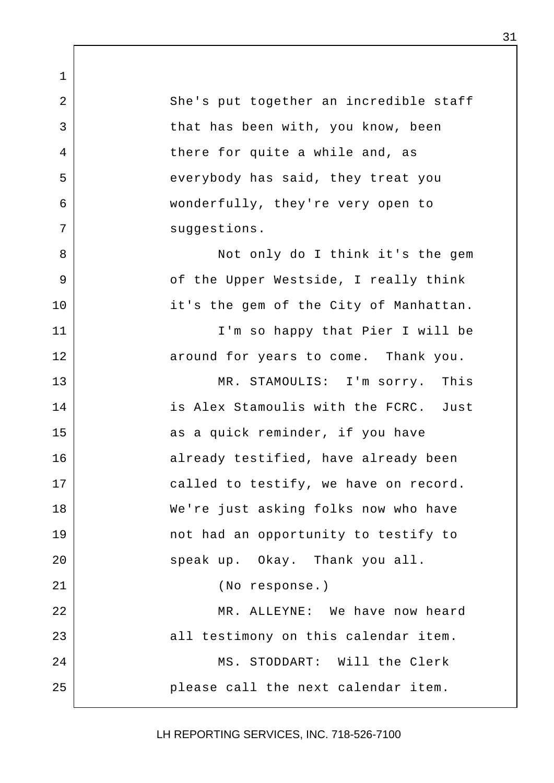2 She's put together an incredible staff 3 that has been with, you know, been 4 there for quite a while and, as 5 | everybody has said, they treat you 6 wonderfully, they're very open to 7 suggestions.

1

8 | Not only do I think it's the gem 9 | Construct the Upper Westside, I really think 10 it's the gem of the City of Manhattan.

11 | T'm so happy that Pier I will be 12 around for years to come. Thank you.

13 MR. STAMOULIS: I'm sorry. This 14 is Alex Stamoulis with the FCRC. Just 15 as a quick reminder, if you have 16 already testified, have already been 17 called to testify, we have on record. 18 We're just asking folks now who have 19 | The not had an opportunity to testify to 20 | Speak up. Okay. Thank you all. 21 (No response.)

22 MR. ALLEYNE: We have now heard 23 all testimony on this calendar item. 24 | MS. STODDART: Will the Clerk 25 please call the next calendar item.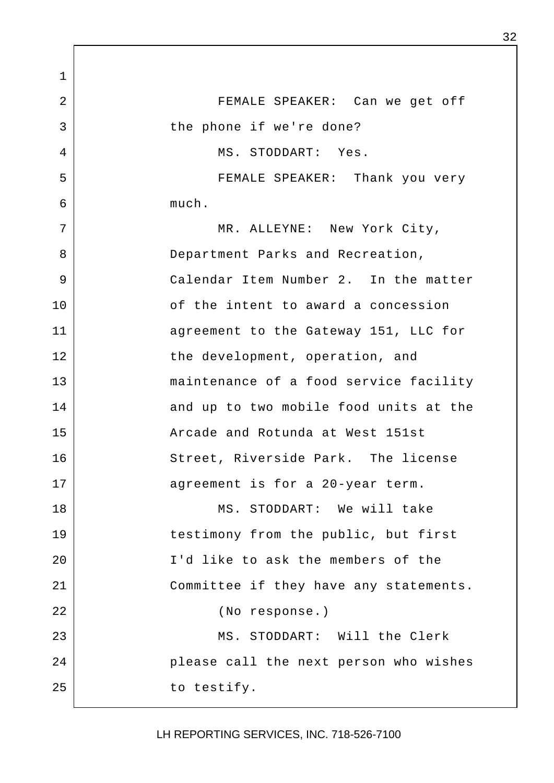1 2 FEMALE SPEAKER: Can we get off 3 bthe phone if we're done? 4 MS. STODDART: Yes. 5 FEMALE SPEAKER: Thank you very  $6 \mid$  much. 7 | MR. ALLEYNE: New York City, 8 Department Parks and Recreation, 9 Calendar Item Number 2. In the matter 10 of the intent to award a concession 11 | agreement to the Gateway 151, LLC for 12 the development, operation, and 13 maintenance of a food service facility 14 and up to two mobile food units at the 15 Arcade and Rotunda at West 151st 16 Street, Riverside Park. The license 17 aqreement is for a 20-year term. 18 MS. STODDART: We will take 19 testimony from the public, but first 20 I'd like to ask the members of the 21 Committee if they have any statements. 22 (No response.) 23 MS. STODDART: Will the Clerk 24 please call the next person who wishes 25 to testify.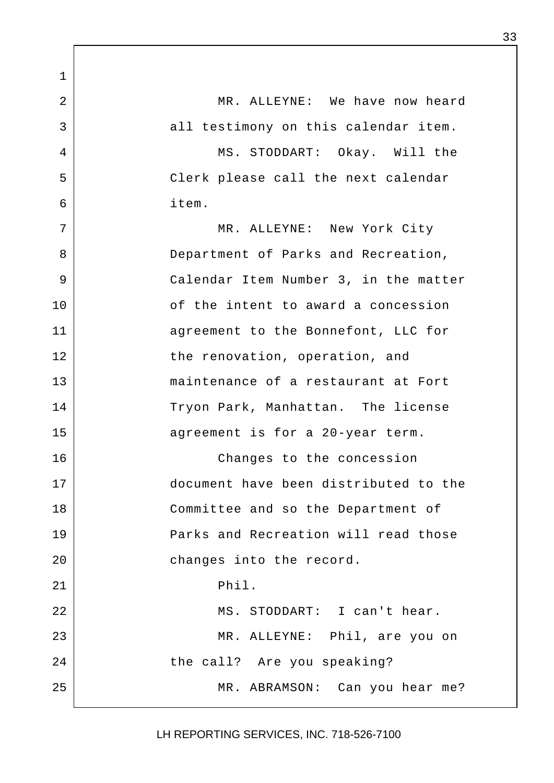1 2 MR. ALLEYNE: We have now heard 3 all testimony on this calendar item. 4 MS. STODDART: Okay. Will the 5 Clerk please call the next calendar 6 item. 7 MR. ALLEYNE: New York City 8 Department of Parks and Recreation, 9 Calendar Item Number 3, in the matter 10 of the intent to award a concession 11 aqreement to the Bonnefont, LLC for 12 the renovation, operation, and 13 maintenance of a restaurant at Fort 14 Tryon Park, Manhattan. The license 15 agreement is for a 20-year term. 16 Changes to the concession 17 document have been distributed to the 18 Committee and so the Department of 19 Parks and Recreation will read those 20 changes into the record.  $21$  Phil. 22 MS. STODDART: I can't hear. 23 MR. ALLEYNE: Phil, are you on 24 the call? Are you speaking? 25 MR. ABRAMSON: Can you hear me?

LH REPORTING SERVICES, INC. 718-526-7100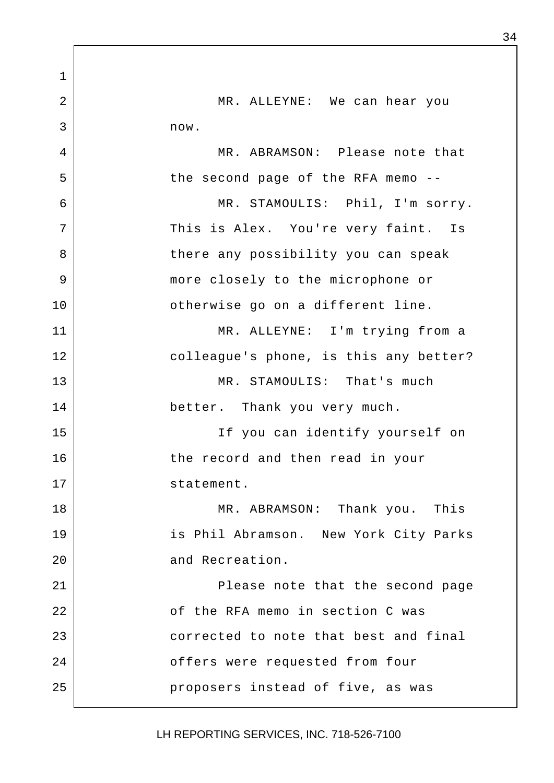1 2 MR. ALLEYNE: We can hear you 3 now. 4 MR. ABRAMSON: Please note that 5 | the second page of the RFA memo --6 MR. STAMOULIS: Phil, I'm sorry. 7 This is Alex. You're very faint. Is 8 | There any possibility you can speak 9 more closely to the microphone or 10 | ctherwise go on a different line. 11 MR. ALLEYNE: I'm trying from a 12 colleague's phone, is this any better? 13 MR. STAMOULIS: That's much 14 better. Thank you very much. 15 If you can identify yourself on 16 the record and then read in your 17 statement. 18 MR. ABRAMSON: Thank you. This 19 is Phil Abramson. New York City Parks 20 and Recreation. 21 | Please note that the second page 22 of the RFA memo in section C was 23 corrected to note that best and final 24 **b** offers were requested from four 25 **proposers** instead of five, as was

LH REPORTING SERVICES, INC. 718-526-7100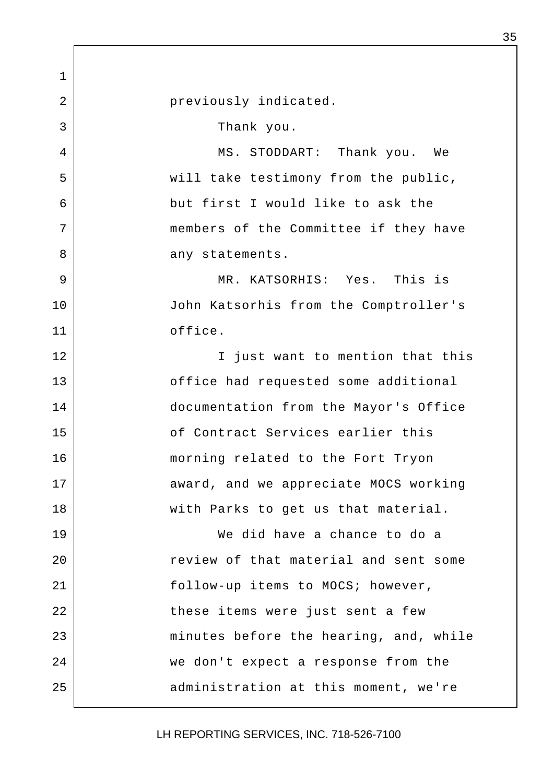1 2 | Previously indicated. 3 Thank you. 4 MS. STODDART: Thank you. We 5 | will take testimony from the public, 6 but first I would like to ask the 7 members of the Committee if they have 8 any statements. 9 MR. KATSORHIS: Yes. This is 10 John Katsorhis from the Comptroller's 11 office. 12 | Tiust want to mention that this 13 **13** office had requested some additional 14 documentation from the Mayor's Office 15 of Contract Services earlier this 16 morning related to the Fort Tryon 17 award, and we appreciate MOCS working 18 | with Parks to get us that material. 19 We did have a chance to do a 20 Teview of that material and sent some 21 | follow-up items to MOCS; however, 22 | these items were just sent a few 23 | minutes before the hearing, and, while 24 we don't expect a response from the 25 | administration at this moment, we're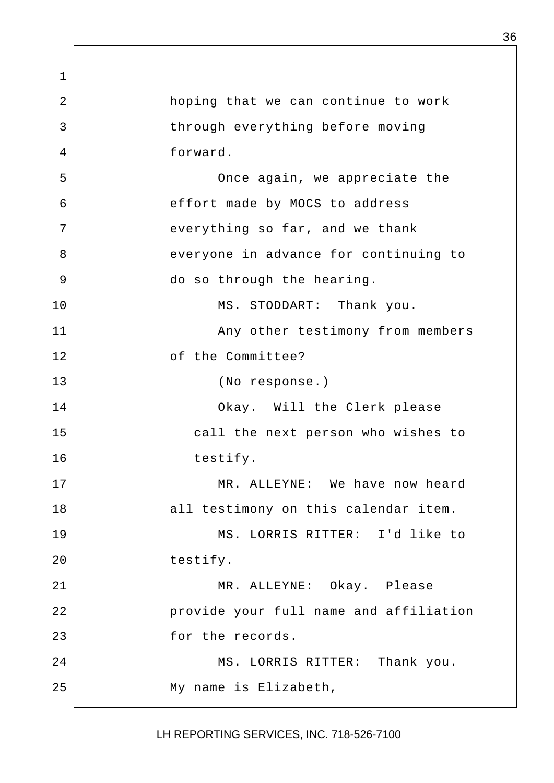1 2 hoping that we can continue to work 3 | through everything before moving 4 forward. 5 | Conce again, we appreciate the 6 effort made by MOCS to address 7 | everything so far, and we thank 8 everyone in advance for continuing to 9 do so through the hearing. 10 | MS. STODDART: Thank you. 11 | Any other testimony from members 12 | cf the Committee? 13 (No response.) 14 | Chay. Will the Clerk please 15 call the next person who wishes to 16 bestify. 17 MR. ALLEYNE: We have now heard 18 all testimony on this calendar item. 19 MS. LORRIS RITTER: I'd like to 20 testify. 21 MR. ALLEYNE: Okay. Please 22 | provide your full name and affiliation 23 for the records. 24 MS. LORRIS RITTER: Thank you. 25 My name is Elizabeth,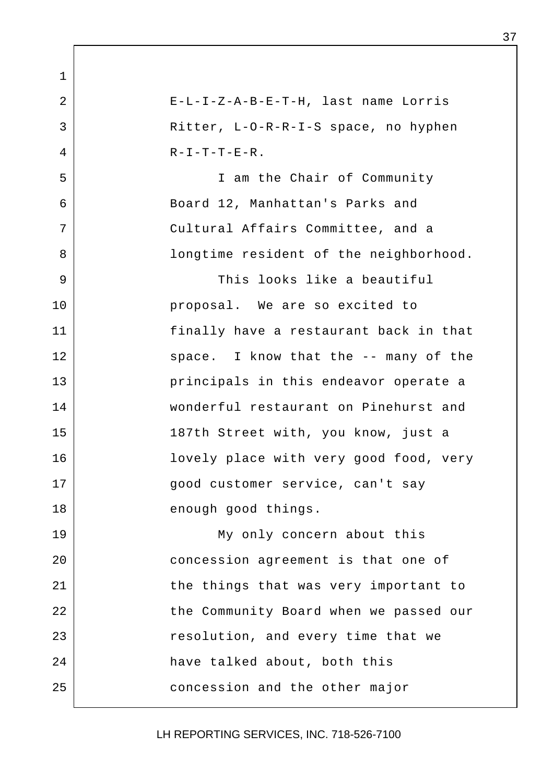1 2 E-L-I-Z-A-B-E-T-H, last name Lorris 3 Ritter, L-O-R-R-I-S space, no hyphen  $4$  R-I-T-T-E-R. 5 I am the Chair of Community 6 Board 12, Manhattan's Parks and 7 Cultural Affairs Committee, and a 8 | Songtime resident of the neighborhood. 9 This looks like a beautiful 10 | Proposal. We are so excited to 11 finally have a restaurant back in that 12 | Space. I know that the -- many of the 13 principals in this endeavor operate a 14 wonderful restaurant on Pinehurst and 15 187th Street with, you know, just a 16 | lovely place with very good food, very 17 | Good customer service, can't say 18 enough good things. 19 My only concern about this 20 concession agreement is that one of 21 the things that was very important to 22 | the Community Board when we passed our 23 eresolution, and every time that we 24 have talked about, both this 25 concession and the other major

LH REPORTING SERVICES, INC. 718-526-7100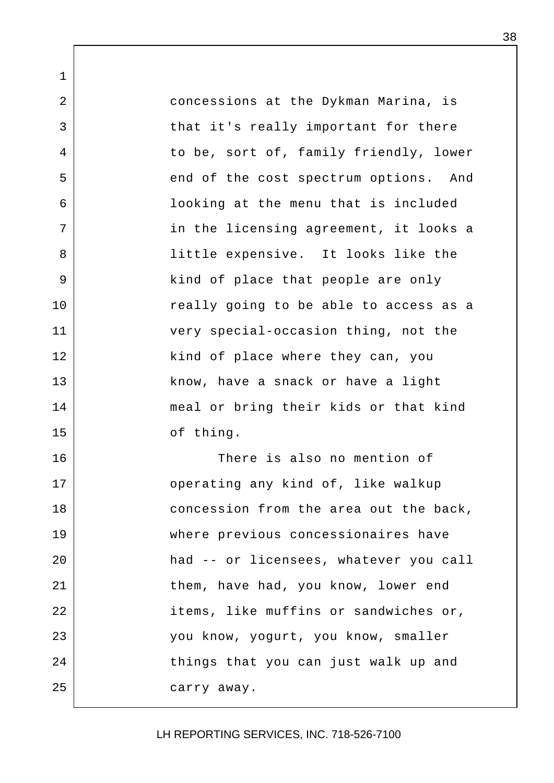1 2 concessions at the Dykman Marina, is 3 | that it's really important for there 4 to be, sort of, family friendly, lower 5 end of the cost spectrum options. And 6 looking at the menu that is included 7 | The licensing agreement, it looks a 8 | Tittle expensive. It looks like the 9 | kind of place that people are only 10 | The really going to be able to access as a 11 very special-occasion thing, not the 12 | kind of place where they can, you 13 know, have a snack or have a light 14 meal or bring their kids or that kind 15 of thing. 16 There is also no mention of 17 operating any kind of, like walkup 18 concession from the area out the back, 19 where previous concessionaires have 20 had -- or licensees, whatever you call 21 them, have had, you know, lower end 22 | items, like muffins or sandwiches or, 23 you know, yogurt, you know, smaller 24 things that you can just walk up and 25 carry away.

LH REPORTING SERVICES, INC. 718-526-7100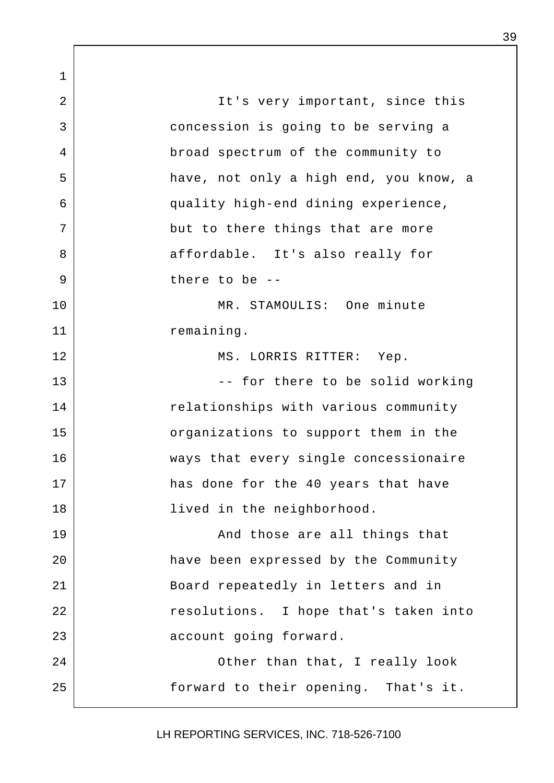1 2 | Tt's very important, since this 3 concession is going to be serving a 4 broad spectrum of the community to 5 have, not only a high end, you know, a 6 quality high-end dining experience, 7 but to there things that are more 8 affordable. It's also really for 9 be --10 MR. STAMOULIS: One minute 11 | Temaining. 12 MS. LORRIS RITTER: Yep. 13 | The contract to be solid working 14 | Telationships with various community 15 | crganizations to support them in the 16 ways that every single concessionaire 17 has done for the 40 years that have 18 | lived in the neighborhood. 19 and those are all things that 20 have been expressed by the Community 21 Board repeatedly in letters and in 22 | Tesolutions. I hope that's taken into 23 account going forward. 24 | Cher than that, I really look 25 forward to their opening. That's it.

LH REPORTING SERVICES, INC. 718-526-7100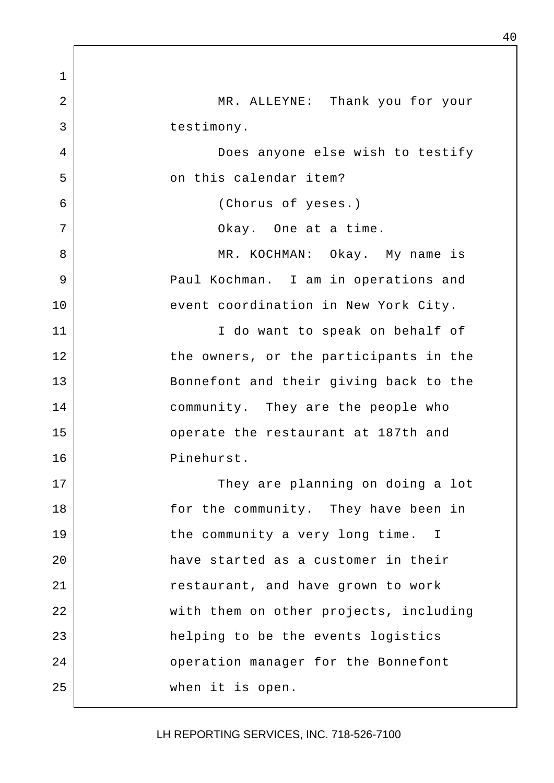1 2 MR. ALLEYNE: Thank you for your 3 destimony. 4 Does anyone else wish to testify 5 on this calendar item? 6 (Chorus of yeses.) 7 | Chay. One at a time. 8 | MR. KOCHMAN: Okay. My name is 9 | Paul Kochman. I am in operations and 10 event coordination in New York City. 11 | T do want to speak on behalf of 12 the owners, or the participants in the 13 Bonnefont and their giving back to the 14 community. They are the people who 15 operate the restaurant at 187th and 16 Pinehurst. 17 They are planning on doing a lot 18 for the community. They have been in 19 the community a very long time. I 20 have started as a customer in their 21 **Propert and have grown to work** 22 | with them on other projects, including 23 | helping to be the events logistics 24 **Deap Seaps Seaps** operation manager for the Bonnefont 25 when it is open.

LH REPORTING SERVICES, INC. 718-526-7100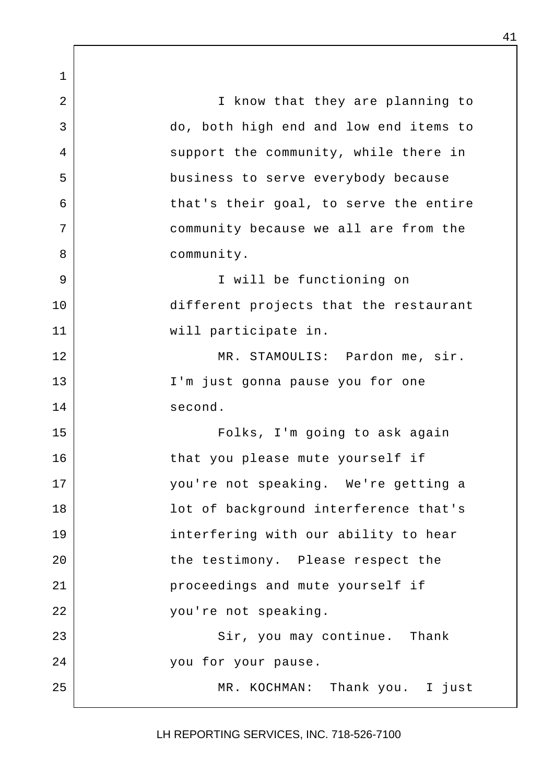1 2 | The I know that they are planning to 3 do, both high end and low end items to 4 support the community, while there in 5 business to serve everybody because 6 that's their goal, to serve the entire 7 community because we all are from the 8 community. 9 I will be functioning on 10 different projects that the restaurant 11 will participate in. 12 | MR. STAMOULIS: Pardon me, sir. 13 | T'm just gonna pause you for one 14 second. 15 Folks, I'm going to ask again 16 | that you please mute yourself if 17 you're not speaking. We're getting a 18 | lot of background interference that's 19 interfering with our ability to hear 20 the testimony. Please respect the 21 **proceedings** and mute yourself if 22 you're not speaking. 23 | Sir, you may continue. Thank 24 you for your pause. 25 | MR. KOCHMAN: Thank you. I just

LH REPORTING SERVICES, INC. 718-526-7100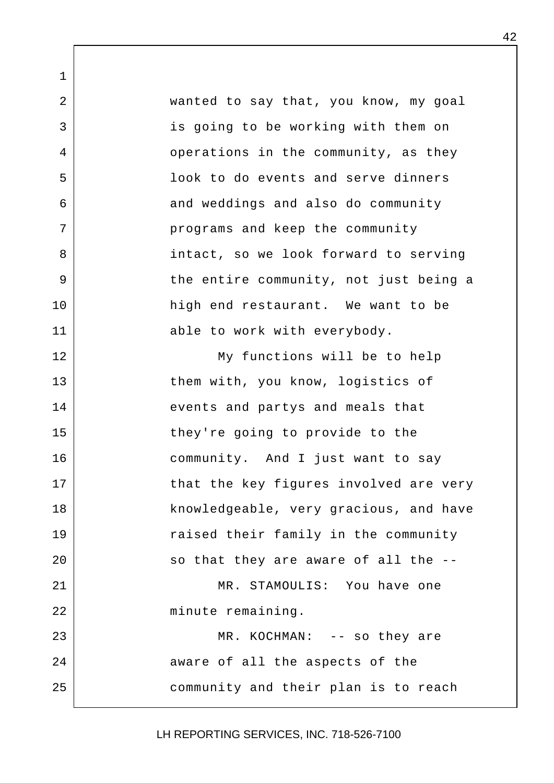1 2 wanted to say that, you know, my goal 3 is going to be working with them on 4 operations in the community, as they 5 look to do events and serve dinners 6 and weddings and also do community 7 | programs and keep the community 8 intact, so we look forward to serving 9 | The entire community, not just being a 10 high end restaurant. We want to be 11 able to work with everybody. 12 | My functions will be to help 13 them with, you know, logistics of 14 events and partys and meals that 15 they're going to provide to the 16 community. And I just want to say 17 that the key figures involved are very 18 knowledgeable, very gracious, and have 19 The raised their family in the community 20 | so that they are aware of all the --21 MR. STAMOULTS: You have one 22 | minute remaining. 23 MR. KOCHMAN: -- so they are 24 aware of all the aspects of the 25 community and their plan is to reach

LH REPORTING SERVICES, INC. 718-526-7100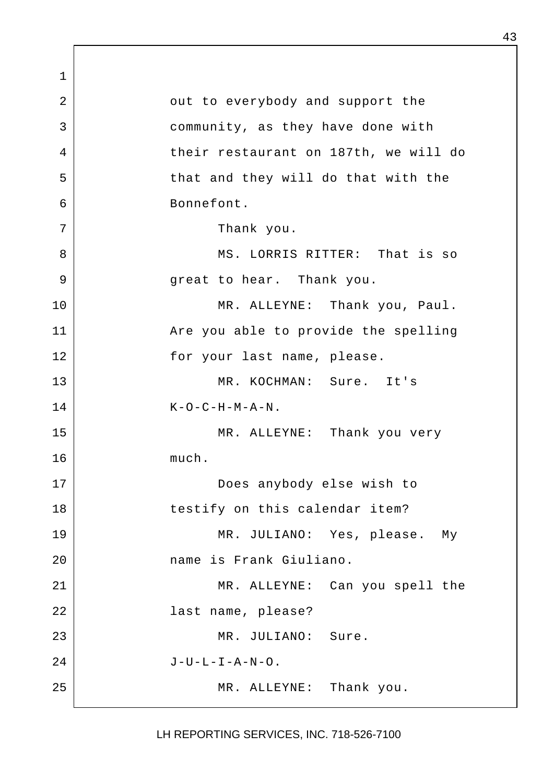1 2 | cut to everybody and support the 3 community, as they have done with 4 their restaurant on 187th, we will do 5 | that and they will do that with the 6 Bonnefont. 7 Thank you. 8 MS. LORRIS RITTER: That is so 9 great to hear. Thank you. 10 | MR. ALLEYNE: Thank you, Paul. 11 Are you able to provide the spelling 12 for your last name, please. 13 MR. KOCHMAN: Sure. It's  $14$  K-O-C-H-M-A-N. 15 MR. ALLEYNE: Thank you very 16 much. 17 Does anybody else wish to 18 | testify on this calendar item? 19 MR. JULIANO: Yes, please. My 20 name is Frank Giuliano. 21 MR. ALLEYNE: Can you spell the 22 last name, please? 23 MR. JULIANO: Sure.  $24$  J-U-L-I-A-N-O. 25 | MR. ALLEYNE: Thank you.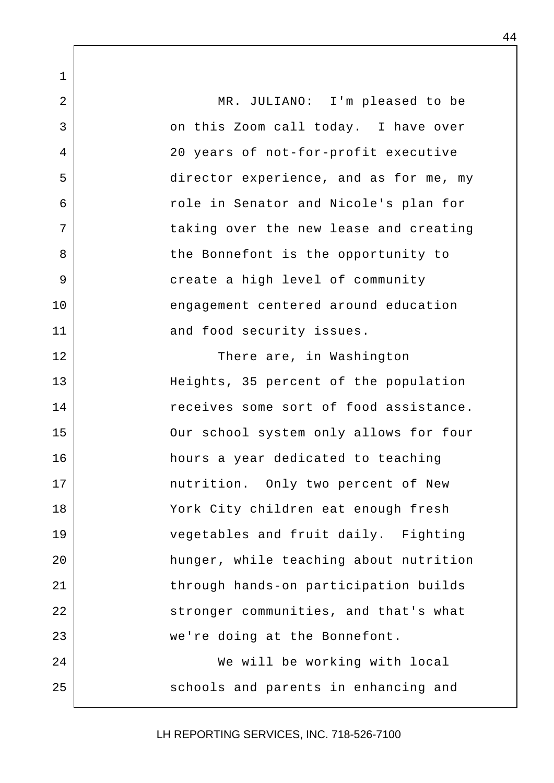1 2 MR. JULIANO: I'm pleased to be 3 on this Zoom call today. I have over 4 20 years of not-for-profit executive 5 director experience, and as for me, my 6 **6 and Senator** and Nicole's plan for 7 taking over the new lease and creating 8 | the Bonnefont is the opportunity to 9 create a high level of community 10 engagement centered around education 11 and food security issues. 12 | There are, in Washington 13 Heights, 35 percent of the population 14 receives some sort of food assistance. 15 | Our school system only allows for four 16 hours a year dedicated to teaching 17 | mutrition. Only two percent of New 18 York City children eat enough fresh 19 vegetables and fruit daily. Fighting 20 hunger, while teaching about nutrition 21 | through hands-on participation builds 22 Stronger communities, and that's what 23 we're doing at the Bonnefont. 24 We will be working with local 25 | Schools and parents in enhancing and

LH REPORTING SERVICES, INC. 718-526-7100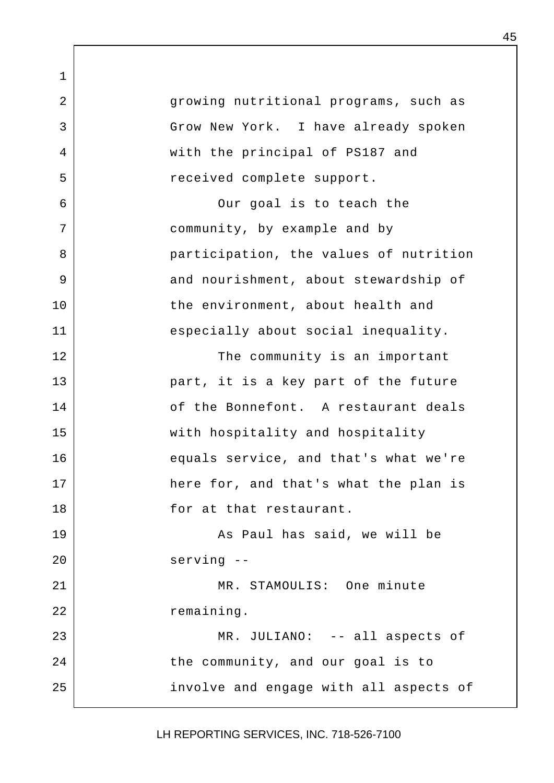1 2 | qrowing nutritional programs, such as 3 Grow New York. I have already spoken 4 with the principal of PS187 and 5 | Teceived complete support. 6 Our goal is to teach the 7 | Community, by example and by 8 | exticipation, the values of nutrition 9 and nourishment, about stewardship of 10 | the environment, about health and 11 especially about social inequality. 12 | The community is an important 13 part, it is a key part of the future 14 of the Bonnefont. A restaurant deals 15 with hospitality and hospitality 16 equals service, and that's what we're 17 here for, and that's what the plan is 18 for at that restaurant. 19 | Research Mann Robert As Paul has said, we will be 20 serving -- 21 MR. STAMOULTS: One minute 22 remaining. 23 | MR. JULIANO: -- all aspects of 24 the community, and our goal is to 25 involve and engage with all aspects of

LH REPORTING SERVICES, INC. 718-526-7100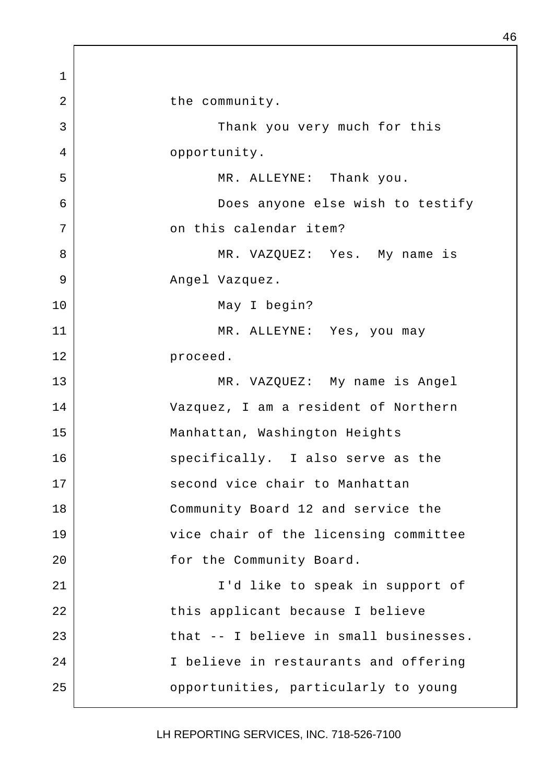1 2 bhe community. 3 | Thank you very much for this 4 opportunity. 5 MR. ALLEYNE: Thank you. 6 Does anyone else wish to testify 7 on this calendar item? 8 MR. VAZQUEZ: Yes. My name is 9 Angel Vazquez. 10 May I begin? 11 MR. ALLEYNE: Yes, you may 12 proceed. 13 MR. VAZQUEZ: My name is Angel 14 Vazquez, I am a resident of Northern 15 | Manhattan, Washington Heights 16 specifically. I also serve as the 17 second vice chair to Manhattan 18 Community Board 12 and service the 19 vice chair of the licensing committee 20 | Tor the Community Board. 21 | T'd like to speak in support of 22 | this applicant because I believe 23 decrypt in that -- I believe in small businesses. 24 I believe in restaurants and offering 25 opportunities, particularly to young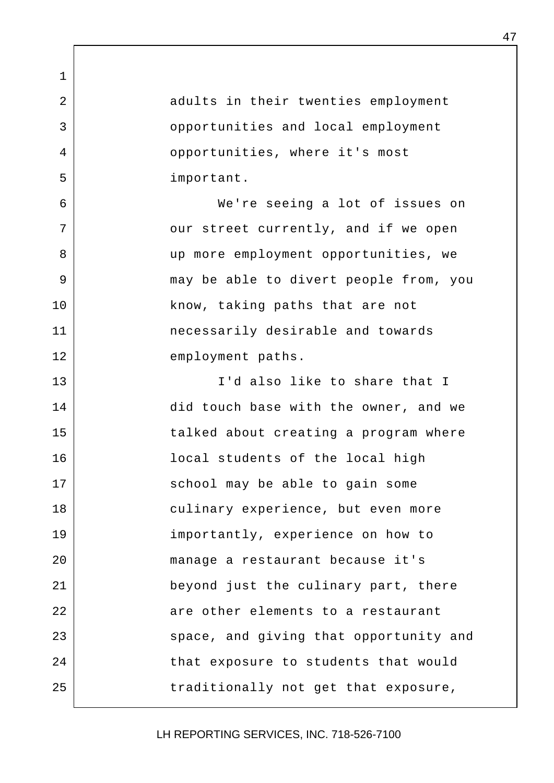2 adults in their twenties employment 3 | Comportunities and local employment 4 **proportunities**, where it's most 5 important.

1

6 We're seeing a lot of issues on 7 | cur street currently, and if we open 8 | we more employment opportunities, we 9 may be able to divert people from, you 10 | know, taking paths that are not 11 necessarily desirable and towards 12 employment paths.

13 I'd also like to share that I 14 did touch base with the owner, and we 15 | Talked about creating a program where 16 local students of the local high 17 | School may be able to gain some 18 culinary experience, but even more 19 importantly, experience on how to 20 manage a restaurant because it's 21 beyond just the culinary part, there 22 are other elements to a restaurant 23 space, and giving that opportunity and 24 | that exposure to students that would 25 | traditionally not get that exposure,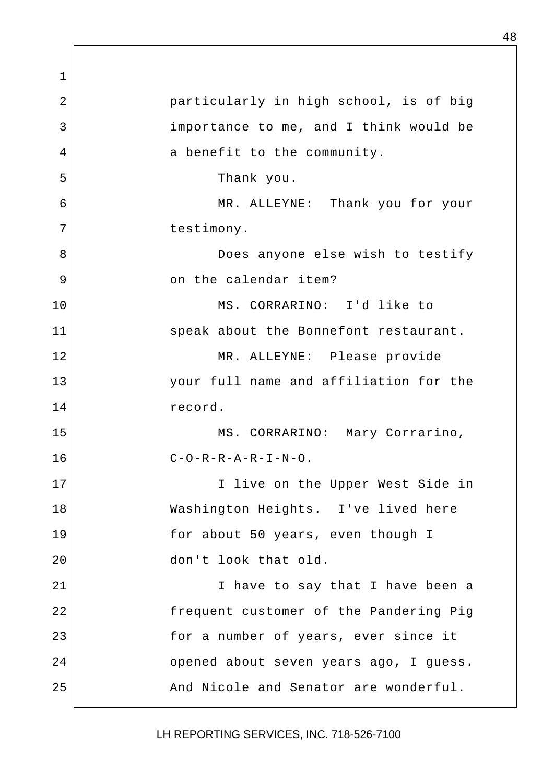1 2 | particularly in high school, is of big 3 importance to me, and I think would be 4 a benefit to the community. 5 Thank you. 6 MR. ALLEYNE: Thank you for your 7 | testimony. 8 | Coes anyone else wish to testify 9 on the calendar item? 10 MS. CORRARINO: I'd like to 11 speak about the Bonnefont restaurant. 12 | MR. ALLEYNE: Please provide 13 your full name and affiliation for the 14 record. 15 | MS. CORRARINO: Mary Corrarino,  $C-O-R-R-A-R-I-N-O$ . 17 | I live on the Upper West Side in 18 Washington Heights. I've lived here 19 for about 50 years, even though I 20 don't look that old. 21 | Nove to say that I have been a 22 frequent customer of the Pandering Pig 23 a 10 a number of years, ever since it 24 | Copened about seven years ago, I guess. 25 And Nicole and Senator are wonderful.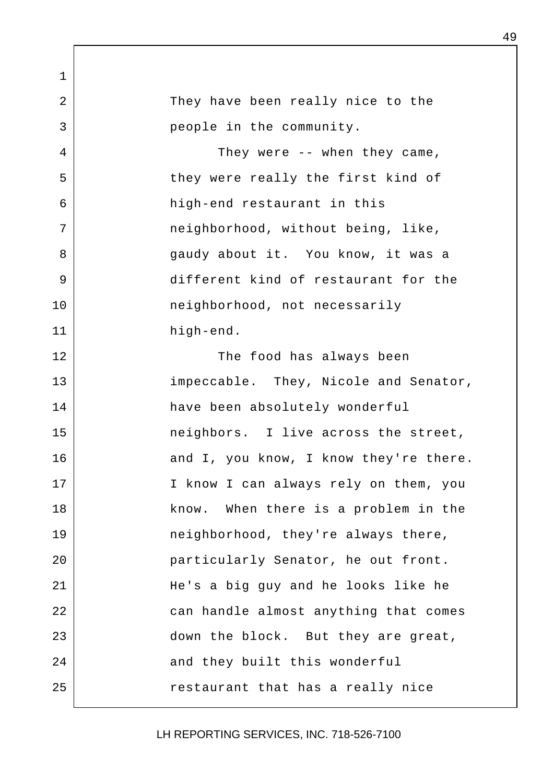1 2 They have been really nice to the 3 people in the community. 4 They were -- when they came, 5 | they were really the first kind of 6 high-end restaurant in this 7 | meighborhood, without being, like, 8 | Sandy about it. You know, it was a 9 different kind of restaurant for the 10 | neighborhood, not necessarily 11 high-end. 12 The food has always been 13 impeccable. They, Nicole and Senator, 14 have been absolutely wonderful 15 neighbors. I live across the street, 16 and I, you know, I know they're there. 17 | The I know I can always rely on them, you 18 | Know. When there is a problem in the 19 | **neighborhood**, they're always there, 20 particularly Senator, he out front. 21 He's a big guy and he looks like he 22 can handle almost anything that comes 23 down the block. But they are great, 24 and they built this wonderful 25 | Testaurant that has a really nice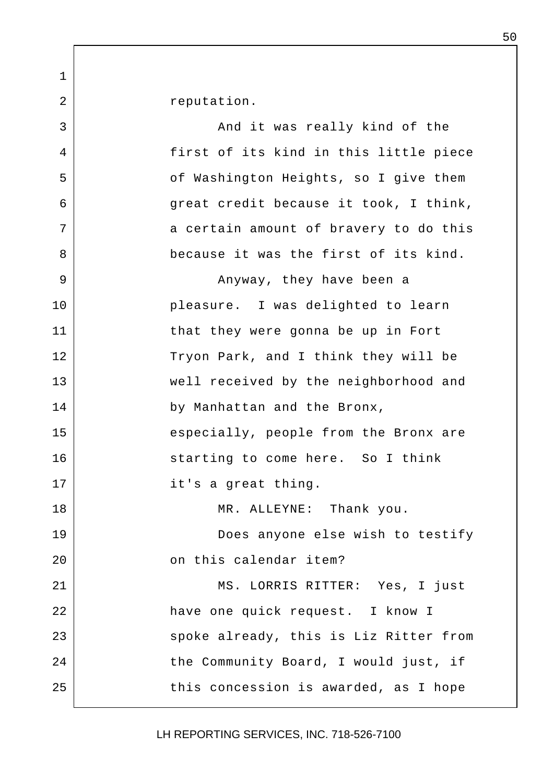2 | reputation.

1

3 and it was really kind of the 4 first of its kind in this little piece 5 | Construction Heights, so I give them 6 great credit because it took, I think, 7 a certain amount of bravery to do this 8 because it was the first of its kind. 9 | Casa Banyway, they have been a 10 pleasure. I was delighted to learn 11 that they were gonna be up in Fort 12 Tryon Park, and I think they will be 13 well received by the neighborhood and 14 by Manhattan and the Bronx, 15 especially, people from the Bronx are 16 Starting to come here. So I think 17 | it's a great thing. 18 | MR. ALLEYNE: Thank you. 19 Does anyone else wish to testify 20 **b** on this calendar item? 21 MS. LORRIS RITTER: Yes, I just 22 | have one quick request. I know I 23 | Spoke already, this is Liz Ritter from 24 the Community Board, I would just, if 25 this concession is awarded, as I hope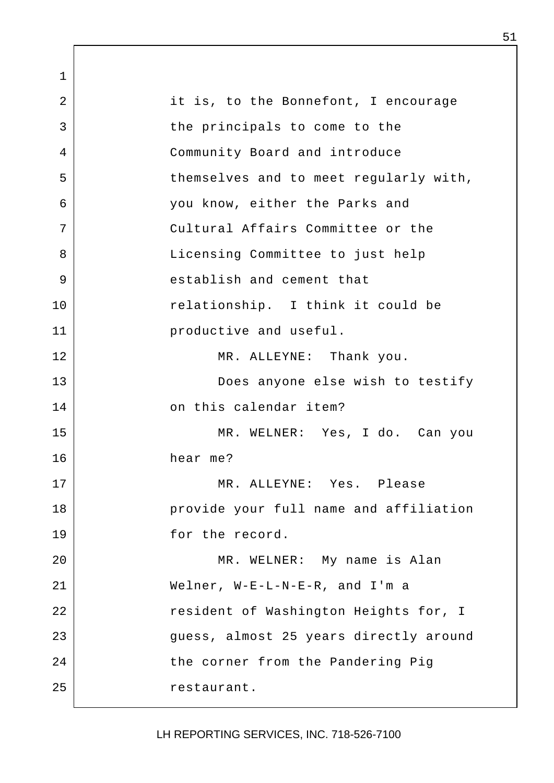1 2 it is, to the Bonnefont, I encourage 3 | the principals to come to the 4 Community Board and introduce 5 | themselves and to meet reqularly with, 6 you know, either the Parks and 7 Cultural Affairs Committee or the 8 | Committee to just help 9 stablish and cement that 10 relationship. I think it could be 11 **productive and useful.** 12 MR. ALLEYNE: Thank you. 13 Does anyone else wish to testify 14 on this calendar item? 15 MR. WELNER: Yes, I do. Can you 16 hear me? 17 MR. ALLEYNE: Yes. Please 18 | provide your full name and affiliation 19 for the record. 20 | MR. WELNER: My name is Alan 21 Welner, W-E-L-N-E-R, and I'm a 22 | Tesident of Washington Heights for, I 23 guess, almost 25 years directly around 24 the corner from the Pandering Pig 25 | Testaurant.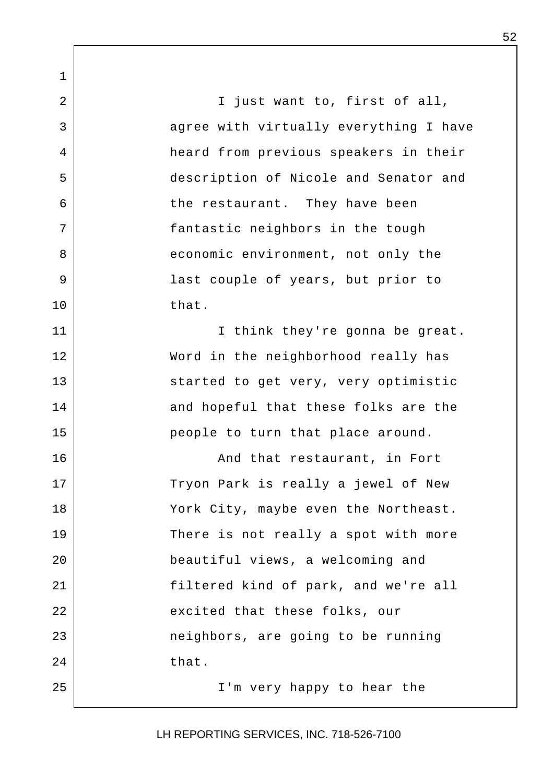1 2 | Tiust want to, first of all, 3 agree with virtually everything I have 4 heard from previous speakers in their 5 description of Nicole and Senator and 6 the restaurant. They have been 7 | fantastic neighbors in the tough 8 | economic environment, not only the 9 | Tast couple of years, but prior to 10 that. 11 | Think they're gonna be great. 12 Word in the neighborhood really has 13 Started to get very, very optimistic 14 and hopeful that these folks are the 15 | people to turn that place around. 16 | Robert Rand that restaurant, in Fort 17 Tryon Park is really a jewel of New 18 York City, maybe even the Northeast. 19 There is not really a spot with more 20 beautiful views, a welcoming and 21 filtered kind of park, and we're all 22 excited that these folks, our 23 | The Poster Share going to be running 24 that. 25 | T'm very happy to hear the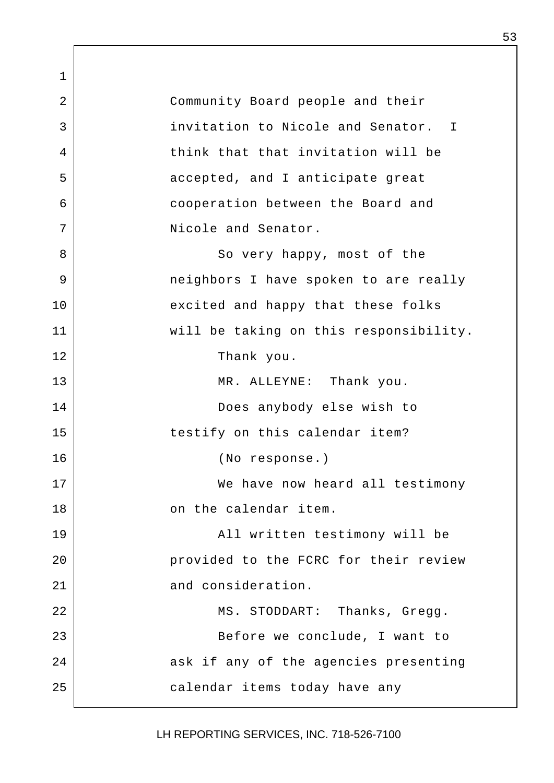1 2 Community Board people and their 3 invitation to Nicole and Senator. I 4 think that that invitation will be 5 | accepted, and I anticipate great 6 cooperation between the Board and 7 Nicole and Senator. 8 | So very happy, most of the 9 | The neighbors I have spoken to are really 10 excited and happy that these folks 11 will be taking on this responsibility. 12 Thank you. 13 MR. ALLEYNE: Thank you. 14 Does anybody else wish to 15 | testify on this calendar item? 16 (No response.) 17 We have now heard all testimony 18 on the calendar item. 19 All written testimony will be 20 **provided** to the FCRC for their review 21 and consideration. 22 MS. STODDART: Thanks, Gregg. 23 Before we conclude, I want to 24 ask if any of the agencies presenting 25 calendar items today have any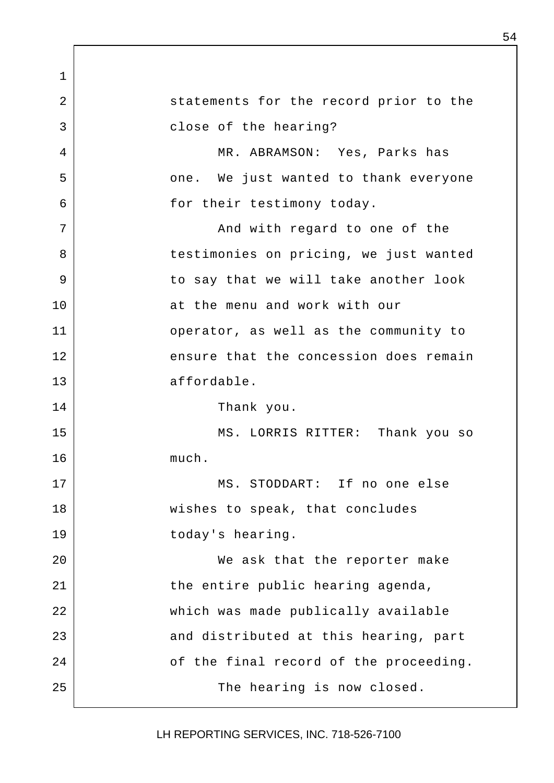1 2 statements for the record prior to the 3 close of the hearing? 4 MR. ABRAMSON: Yes, Parks has 5 | cone. We just wanted to thank everyone 6 6 for their testimony today. 7 | The South Movement Come of the Mand with regard to one of the 8 | testimonies on pricing, we just wanted 9 | Combinate we will take another look 10 at the menu and work with our 11 operator, as well as the community to 12 ensure that the concession does remain 13 affordable. 14 Thank you. 15 MS. LORRIS RITTER: Thank you so 16 much. 17 MS. STODDART: If no one else 18 | wishes to speak, that concludes 19 today's hearing. 20 We ask that the reporter make 21 the entire public hearing agenda, 22 which was made publically available 23 and distributed at this hearing, part 24 of the final record of the proceeding. 25 | The hearing is now closed.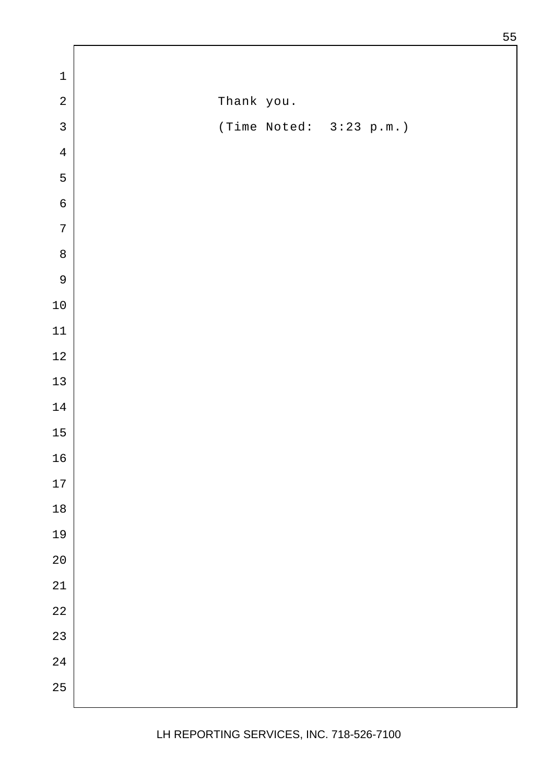| $\overline{a}$<br>Thank you.<br>$\mathsf{3}$<br>(Time Noted: 3:23 p.m.)<br>$\,4$<br>5<br>$\epsilon$<br>$\sqrt{ }$<br>$\,8\,$<br>$\mathsf 9$<br>$1\,0$<br>$11\,$<br>$12\,$<br>$13\,$<br>$1\,4$<br>$15\,$<br>$16$<br>$17\,$<br>$18\,$<br>19<br>$20\,$<br>$21\,$<br>$2\sqrt{2}$<br>23<br>$2\sqrt{4}$ | $\mathbf 1$ |  |
|---------------------------------------------------------------------------------------------------------------------------------------------------------------------------------------------------------------------------------------------------------------------------------------------------|-------------|--|
|                                                                                                                                                                                                                                                                                                   |             |  |
|                                                                                                                                                                                                                                                                                                   |             |  |
|                                                                                                                                                                                                                                                                                                   |             |  |
|                                                                                                                                                                                                                                                                                                   |             |  |
|                                                                                                                                                                                                                                                                                                   |             |  |
|                                                                                                                                                                                                                                                                                                   |             |  |
|                                                                                                                                                                                                                                                                                                   |             |  |
|                                                                                                                                                                                                                                                                                                   |             |  |
|                                                                                                                                                                                                                                                                                                   |             |  |
|                                                                                                                                                                                                                                                                                                   |             |  |
|                                                                                                                                                                                                                                                                                                   |             |  |
|                                                                                                                                                                                                                                                                                                   |             |  |
|                                                                                                                                                                                                                                                                                                   |             |  |
|                                                                                                                                                                                                                                                                                                   |             |  |
|                                                                                                                                                                                                                                                                                                   |             |  |
|                                                                                                                                                                                                                                                                                                   |             |  |
|                                                                                                                                                                                                                                                                                                   |             |  |
|                                                                                                                                                                                                                                                                                                   |             |  |
|                                                                                                                                                                                                                                                                                                   |             |  |
|                                                                                                                                                                                                                                                                                                   |             |  |
|                                                                                                                                                                                                                                                                                                   |             |  |
|                                                                                                                                                                                                                                                                                                   |             |  |
|                                                                                                                                                                                                                                                                                                   |             |  |
|                                                                                                                                                                                                                                                                                                   | 25          |  |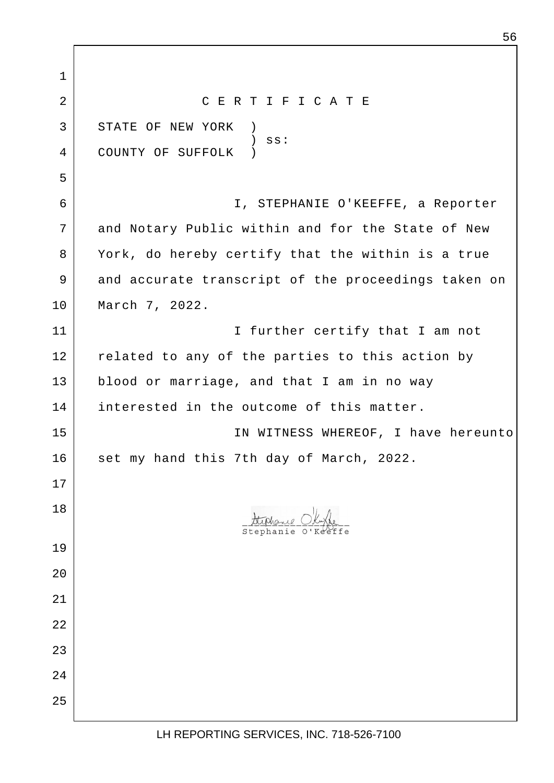1 2 C E R T I F I C A T E 3 STATE OF NEW YORK ) ) ss: 4 COUNTY OF SUFFOLK ) 5 6 I, STEPHANIE O'KEEFFE, a Reporter 7 and Notary Public within and for the State of New 8 York, do hereby certify that the within is a true 9 and accurate transcript of the proceedings taken on 10 March 7, 2022. 11 | I further certify that I am not 12 related to any of the parties to this action by 13 blood or marriage, and that I am in no way 14 interested in the outcome of this matter. 15 | THE MEXIMUS IN WITNESS WHEREOF, I have hereunto 16 set my hand this 7th day of March, 2022. 17 18 L 19 20 21 22 23 24 25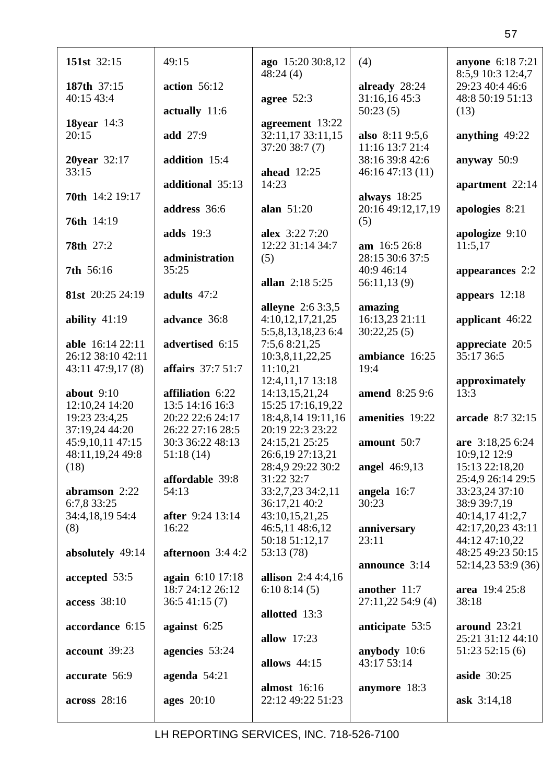| 151st 32:15               | 49:15                                | ago 15:20 30:8,12<br>48:24(4)       | (4)                                | anyone 6:18 7:21<br>8:5,9 10:3 12:4,7 |
|---------------------------|--------------------------------------|-------------------------------------|------------------------------------|---------------------------------------|
| 187th 37:15<br>40:15 43:4 | action 56:12                         | agree $52:3$                        | already 28:24<br>31:16,16 45:3     | 29:23 40:4 46:6<br>48:8 50:19 51:13   |
|                           | actually 11:6                        |                                     | 50:23(5)                           | (13)                                  |
| <b>18year</b> 14:3        |                                      | agreement 13:22                     |                                    |                                       |
| 20:15                     | add 27:9                             | 32:11,17 33:11,15<br>37:20 38:7 (7) | also 8:11 9:5,6<br>11:16 13:7 21:4 | anything 49:22                        |
| 20year 32:17              | addition 15:4                        |                                     | 38:16 39:8 42:6                    | anyway 50:9                           |
| 33:15                     | additional 35:13                     | <b>ahead</b> 12:25<br>14:23         | 46:16 47:13 (11)                   | apartment 22:14                       |
| <b>70th</b> 14:2 19:17    |                                      |                                     | always $18:25$                     |                                       |
| 76th 14:19                | address 36:6                         | alan $51:20$                        | 20:16 49:12,17,19<br>(5)           | apologies 8:21                        |
|                           | <b>adds</b> 19:3                     | alex 3:22 7:20                      |                                    | apologize 9:10                        |
| <b>78th</b> 27:2          | administration                       | 12:22 31:14 34:7                    | am 16:5 26:8<br>28:15 30:6 37:5    | 11:5,17                               |
| 7th 56:16                 | 35:25                                | (5)                                 | 40:9 46:14                         | appearances 2:2                       |
|                           |                                      | allan 2:18 5:25                     | 56:11,13(9)                        |                                       |
| 81st 20:25 24:19          | adults 47:2                          | <b>alleyne</b> 2:6 3:3,5            | amazing                            | appears 12:18                         |
| ability $41:19$           | advance 36:8                         | 4:10,12,17,21,25                    | 16:13,23 21:11                     | applicant 46:22                       |
| able 16:14 22:11          | advertised 6:15                      | 5:5,8,13,18,23 6:4<br>7:5,6 8:21,25 | 30:22,25(5)                        | appreciate 20:5                       |
| 26:12 38:10 42:11         |                                      | 10:3,8,11,22,25                     | ambiance 16:25                     | 35:17 36:5                            |
| $43:11\,47:9,17(8)$       | affairs 37:7 51:7                    | 11:10,21                            | 19:4                               |                                       |
| about $9:10$              | affiliation 6:22                     | 12:4,11,17 13:18<br>14:13,15,21,24  | amend 8:25 9:6                     | approximately<br>13:3                 |
| 12:10,24 14:20            | 13:5 14:16 16:3                      | 15:25 17:16,19,22                   |                                    |                                       |
| 19:23 23:4,25             | 20:22 22:6 24:17                     | 18:4,8,14 19:11,16                  | amenities 19:22                    | arcade 8:7 32:15                      |
| 37:19,24 44:20            | 26:22 27:16 28:5                     | 20:19 22:3 23:22                    |                                    |                                       |
| 45:9,10,11 47:15          | 30:3 36:22 48:13                     | 24:15,21 25:25                      | amount 50:7                        | are 3:18,25 6:24                      |
| 48:11,19,24 49:8          | 51:18(14)                            | 26:6,19 27:13,21                    |                                    | 10:9,12 12:9                          |
| (18)                      | affordable 39:8                      | 28:4,9 29:22 30:2<br>31:22 32:7     | <b>angel</b> 46:9,13               | 15:13 22:18,20<br>25:4,9 26:14 29:5   |
| abramson 2:22             | 54:13                                | 33:2,7,23 34:2,11                   | angela $16:7$                      | 33:23,24 37:10                        |
| 6:7,8 33:25               |                                      | 36:17,21 40:2                       | 30:23                              | 38:9 39:7,19                          |
| 34:4,18,19 54:4           | after 9:24 13:14                     | 43:10,15,21,25                      |                                    | 40:14,17 41:2,7                       |
| (8)                       | 16:22                                | 46:5,11 48:6,12                     | anniversary                        | 42:17,20,23 43:11                     |
|                           |                                      | 50:18 51:12,17                      | 23:11                              | 44:12 47:10,22                        |
| absolutely 49:14          | afternoon $3:44:2$                   | 53:13(78)                           |                                    | 48:25 49:23 50:15                     |
|                           |                                      | allison $2:44:4,16$                 | announce 3:14                      | 52:14,23 53:9 (36)                    |
| accepted 53:5             | again 6:10 17:18<br>18:7 24:12 26:12 | 6:108:14(5)                         | another 11:7                       | area 19:4 25:8                        |
| access 38:10              | 36:541:15(7)                         |                                     | 27:11,22 54:9 (4)                  | 38:18                                 |
|                           |                                      | allotted 13:3                       |                                    |                                       |
| accordance 6:15           | against $6:25$                       |                                     | anticipate 53:5                    | around $23:21$                        |
|                           |                                      | <b>allow</b> 17:23                  |                                    | 25:21 31:12 44:10                     |
| account 39:23             | agencies 53:24                       | allows $44:15$                      | anybody 10:6<br>43:17 53:14        | 51:2352:15(6)                         |
| accurate 56:9             | agenda $54:21$                       |                                     |                                    | aside $30:25$                         |
|                           |                                      | almost 16:16                        | anymore 18:3                       |                                       |
| across 28:16              | <b>ages</b> 20:10                    | 22:12 49:22 51:23                   |                                    | ask $3:14,18$                         |
|                           |                                      |                                     |                                    |                                       |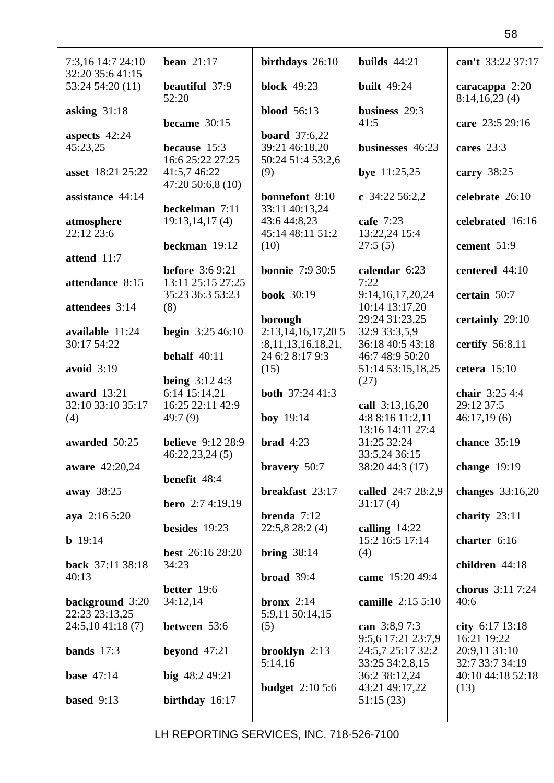| 7:3,16 14:7 24:10<br>32:20 35:6 41:15 | bean $21:17$                                                    | birthdays 26:10                               | builds $44:21$                               | can't 33:22 37:17                 |
|---------------------------------------|-----------------------------------------------------------------|-----------------------------------------------|----------------------------------------------|-----------------------------------|
| 53:24 54:20 (11)                      | beautiful 37:9<br>52:20                                         | <b>block</b> 49:23                            | <b>built</b> 49:24                           | caracappa $2:20$<br>8:14,16,23(4) |
| asking $31:18$                        | became $30:15$                                                  | <b>blood</b> 56:13                            | business 29:3<br>41:5                        | care 23:5 29:16                   |
| aspects 42:24<br>45:23,25             | because 15:3                                                    | <b>board</b> 37:6,22<br>39:21 46:18,20        | businesses 46:23                             | cares $23:3$                      |
| asset 18:21 25:22                     | 16:6 25:22 27:25<br>41:5,7 46:22<br>47:20 50:6,8 (10)           | 50:24 51:4 53:2,6<br>(9)                      | bye $11:25,25$                               | carry $38:25$                     |
| assistance 44:14                      | beckelman 7:11                                                  | <b>bonnefont</b> 8:10<br>33:11 40:13,24       | c $34:22\,56:2,2$                            | celebrate 26:10                   |
| atmosphere<br>22:12 23:6              | 19:13,14,17(4)                                                  | 43:6 44:8,23<br>45:14 48:11 51:2              | cafe 7:23<br>13:22,24 15:4                   | celebrated 16:16                  |
| attend 11:7                           | beckman 19:12                                                   | (10)<br><b>bonnie</b> 7:9 30:5                | 27:5(5)                                      | cement 51:9                       |
| attendance 8:15                       | <b>before</b> 3:6 9:21<br>13:11 25:15 27:25<br>35:23 36:3 53:23 | <b>book</b> 30:19                             | calendar 6:23<br>7:22<br>9:14,16,17,20,24    | centered 44:10<br>certain 50:7    |
| attendees 3:14                        | (8)                                                             | borough                                       | 10:14 13:17,20<br>29:24 31:23,25             | certainly 29:10                   |
| available 11:24<br>30:17 54:22        | <b>begin</b> $3:2546:10$                                        | 2:13,14,16,17,205<br>: 8, 11, 13, 16, 18, 21, | 32:9 33:3,5,9<br>36:18 40:5 43:18            | certify $56:8,11$                 |
| avoid $3:19$                          | behalf $40:11$<br><b>being</b> $3:124:3$                        | 24 6:2 8:17 9:3<br>(15)                       | 46:7 48:9 50:20<br>51:14 53:15,18,25<br>(27) | cetera $15:10$                    |
| award 13:21<br>32:10 33:10 35:17      | 6:14 15:14,21<br>16:25 22:11 42:9                               | <b>both</b> 37:24 41:3                        | call 3:13,16,20                              | chair 3:25 4:4<br>29:12 37:5      |
| (4)                                   | 49:7(9)                                                         | <b>boy</b> 19:14                              | 4:8 8:16 11:2,11<br>13:16 14:11 27:4         | 46:17,19(6)                       |
| awarded 50:25<br>aware 42:20,24       | <b>believe</b> 9:12 28:9<br>46:22,23,24(5)                      | <b>brad</b> $4:23$                            | 31:25 32:24<br>33:5,24 36:15                 | chance 35:19<br>change 19:19      |
| away 38:25                            | benefit 48:4                                                    | bravery 50:7<br>breakfast 23:17               | 38:20 44:3 (17)<br>called 24:7 28:2,9        | changes $33:16,20$                |
| aya $2:165:20$                        | <b>bero</b> $2:74:19,19$                                        | brenda $7:12$                                 | 31:17(4)                                     | charity $23:11$                   |
| <b>b</b> $19:14$                      | besides 19:23                                                   | 22:5,828:2(4)                                 | calling $14:22$<br>15:2 16:5 17:14           | charter 6:16                      |
| back 37:11 38:18<br>40:13             | <b>best</b> 26:16 28:20<br>34:23                                | bring $38:14$<br>broad $39:4$                 | (4)<br>came 15:20 49:4                       | children 44:18                    |
| background 3:20                       | better 19:6<br>34:12,14                                         | bronx $2:14$                                  | camille 2:15 5:10                            | chorus 3:11 7:24<br>40:6          |
| 22:23 23:13,25<br>24:5,1041:18(7)     | between 53:6                                                    | 5:9,11 50:14,15<br>(5)                        | can 3:8,97:3<br>9:5,6 17:21 23:7,9           | city $6:17$ 13:18<br>16:21 19:22  |
| bands $17:3$                          | beyond $47:21$                                                  | brooklyn 2:13<br>5:14,16                      | 24:5,7 25:17 32:2<br>33:25 34:2,8,15         | 20:9,11 31:10<br>32:7 33:7 34:19  |
| base $47:14$                          | big $48:249:21$                                                 | <b>budget</b> $2:105:6$                       | 36:2 38:12,24<br>43:21 49:17,22              | 40:10 44:18 52:18<br>(13)         |
| based $9:13$                          | birthday 16:17                                                  |                                               | 51:15(23)                                    |                                   |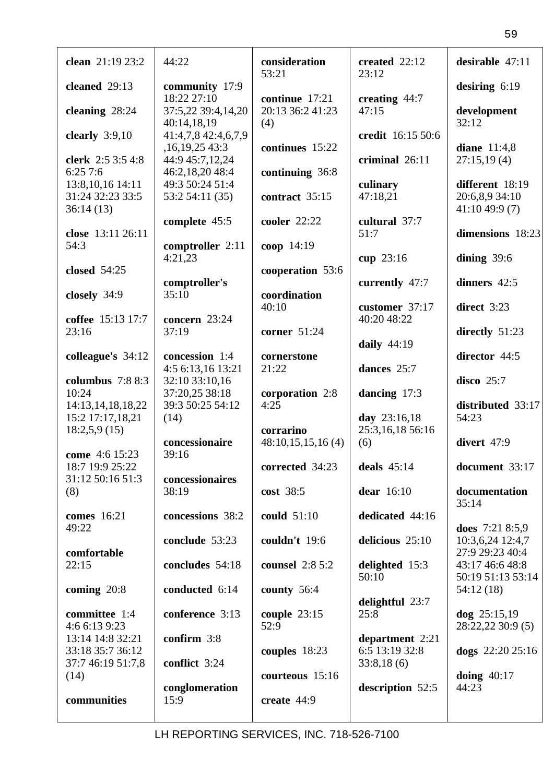| clean 21:19 23:2                       | 44:22                                                 | consideration<br>53:21         | created 22:12<br>23:12            | desirable $47:11$                    |
|----------------------------------------|-------------------------------------------------------|--------------------------------|-----------------------------------|--------------------------------------|
| cleaned 29:13                          | community 17:9<br>18:22 27:10                         | continue 17:21                 | creating $44:7$                   | desiring $6:19$                      |
| cleaning 28:24                         | 37:5,22 39:4,14,20<br>40:14,18,19                     | 20:13 36:2 41:23<br>(4)        | 47:15                             | development<br>32:12                 |
| clearly $3:9,10$                       | 41:4,7,8 42:4,6,7,9<br>,16,19,25 43:3                 | continues 15:22                | credit 16:15 50:6                 | diane 11:4,8                         |
| clerk 2:5 3:5 4:8<br>6:257:6           | 44:9 45:7,12,24<br>46:2,18,20 48:4                    | continuing 36:8                | criminal 26:11                    | 27:15,19(4)                          |
| 13:8, 10, 16 14:11<br>31:24 32:23 33:5 | 49:3 50:24 51:4<br>53:2 54:11 (35)                    | contract 35:15                 | culinary<br>47:18,21              | different 18:19<br>20:6,8,9 34:10    |
| 36:14(13)<br>close 13:11 26:11         | complete 45:5                                         | cooler 22:22                   | cultural 37:7<br>51:7             | 41:1049:9(7)<br>dimensions 18:23     |
| 54:3                                   | comptroller 2:11<br>4:21,23                           | coop 14:19                     | cup $23:16$                       | dining $39:6$                        |
| closed 54:25                           | comptroller's                                         | cooperation 53:6               | currently 47:7                    | dinners 42:5                         |
| closely $34:9$                         | 35:10                                                 | coordination<br>40:10          | customer 37:17                    | direct 3:23                          |
| coffee 15:13 17:7<br>23:16             | concern 23:24<br>37:19                                | corner 51:24                   | 40:20 48:22                       | directly 51:23                       |
| colleague's 34:12                      | concession 1:4                                        | cornerstone                    | daily $44:19$                     | director 44:5                        |
| columbus $7:88:3$<br>10:24             | 4:5 6:13,16 13:21<br>32:10 33:10,16<br>37:20,25 38:18 | 21:22<br>corporation 2:8       | dances 25:7<br>dancing 17:3       | disco $25:7$                         |
| 14:13,14,18,18,22<br>15:2 17:17,18,21  | 39:3 50:25 54:12<br>(14)                              | 4:25                           | day 23:16,18                      | distributed 33:17<br>54:23           |
| 18:2,5,9(15)                           | concessionaire                                        | corrarino<br>48:10,15,15,16(4) | 25:3,16,18 56:16<br>(6)           | divert 47:9                          |
| come 4:6 15:23<br>18:7 19:9 25:22      | 39:16                                                 | corrected 34:23                | deals $45:14$                     | document 33:17                       |
| 31:12 50:16 51:3<br>(8)                | concessionaires<br>38:19                              | cost 38:5                      | dear 16:10                        | documentation<br>35:14               |
| comes 16:21<br>49:22                   | concessions 38:2                                      | could 51:10                    | dedicated 44:16                   | does $7:218:5,9$                     |
| comfortable                            | conclude 53:23                                        | couldn't 19:6                  | delicious 25:10                   | 10:3,6,24 12:4,7<br>27:9 29:23 40:4  |
| 22:15                                  | concludes 54:18                                       | <b>counsel</b> 2:8 5:2         | delighted 15:3<br>50:10           | 43:17 46:6 48:8<br>50:19 51:13 53:14 |
| coming $20:8$                          | conducted 6:14                                        | county $56:4$                  | delightful 23:7                   | 54:12(18)                            |
| committee 1:4<br>4:6 6:13 9:23         | conference 3:13                                       | couple $23:15$<br>52:9         | 25:8                              | $\log 25:15,19$<br>28:22,22 30:9 (5) |
| 13:14 14:8 32:21<br>33:18 35:7 36:12   | confirm 3:8                                           | couples 18:23                  | department 2:21<br>6:5 13:19 32:8 | dogs $22:20\,25:16$                  |
| 37:7 46:19 51:7,8<br>(14)              | conflict 3:24                                         | courteous 15:16                | 33:8,18(6)                        | doing $40:17$                        |
| communities                            | conglomeration<br>15:9                                | create 44:9                    | description 52:5                  | 44:23                                |
|                                        |                                                       |                                |                                   |                                      |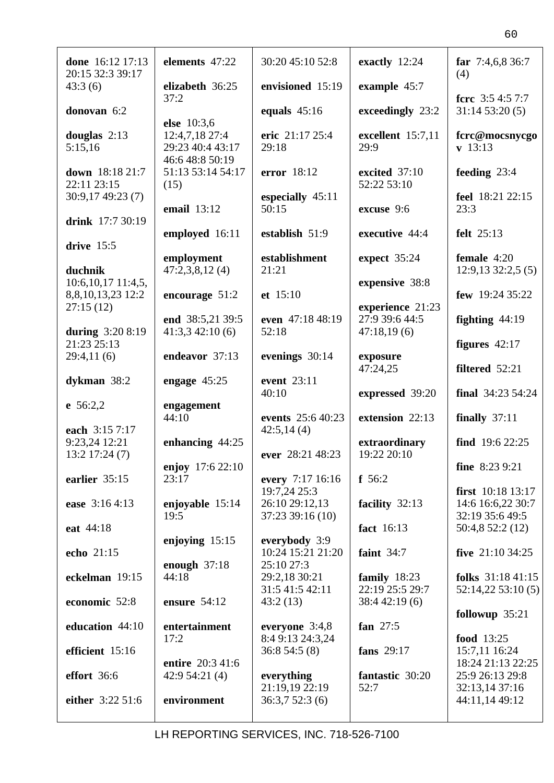| done 16:12 17:13<br>20:15 32:3 39:17  | elements 47:22                                        | 30:20 45:10 52:8                 | exactly 12:24                                     | far $7:4,6,8,36:7$<br>(4)              |
|---------------------------------------|-------------------------------------------------------|----------------------------------|---------------------------------------------------|----------------------------------------|
| 43:3(6)                               | elizabeth 36:25<br>37:2                               | envisioned 15:19                 | example 45:7                                      | fcrc $3:54:57:7$                       |
| donovan 6:2                           | else 10:3,6                                           | equals $45:16$                   | exceedingly 23:2                                  | 31:1453:20(5)                          |
| douglas $2:13$<br>5:15,16             | 12:4,7,18 27:4<br>29:23 40:4 43:17<br>46:6 48:8 50:19 | eric 21:17 25:4<br>29:18         | excellent 15:7,11<br>29:9                         | fcrc@mocsnycgo<br>$\mathbf{v}$ 13:13   |
| down 18:18 21:7<br>22:11 23:15        | 51:13 53:14 54:17<br>(15)                             | error 18:12                      | excited 37:10<br>52:22 53:10                      | feeding $23:4$                         |
| 30:9,17 49:23 (7)                     | <b>email</b> 13:12                                    | especially 45:11<br>50:15        | excuse 9:6                                        | feel 18:21 22:15<br>23:3               |
| drink 17:7 30:19                      | employed 16:11                                        | establish 51:9                   | executive 44:4                                    | felt 25:13                             |
| drive $15:5$                          | employment                                            | establishment                    | expect 35:24                                      | female $4:20$                          |
| duchnik<br>$10:6, 10, 17$ $11:4, 5$ , | 47:2,3,8,12(4)                                        | 21:21                            | expensive 38:8                                    | 12:9,1332:2,5(5)                       |
| 8,8,10,13,23 12:2                     | encourage $51:2$                                      | et 15:10                         |                                                   | few 19:24 35:22                        |
| 27:15(12)<br>during 3:20 8:19         | end 38:5,21 39:5<br>41:3,342:10(6)                    | even 47:18 48:19<br>52:18        | experience 21:23<br>27:9 39:6 44:5<br>47:18,19(6) | fighting $44:19$                       |
| 21:23 25:13                           |                                                       |                                  |                                                   | figures 42:17                          |
| 29:4,11(6)                            | endeavor 37:13                                        | evenings 30:14                   | exposure<br>47:24,25                              | filtered 52:21                         |
| dykman $38:2$                         | engage $45:25$                                        | event 23:11<br>40:10             | expressed 39:20                                   | final $34:2354:24$                     |
| e $56:2,2$<br>each 3:15 7:17          | engagement<br>44:10                                   | events 25:6 40:23<br>42:5,14(4)  | extension 22:13                                   | finally $37:11$                        |
| 9:23,24 12:21<br>$13:2$ 17:24 $(7)$   | enhancing $44:25$                                     | ever 28:21 48:23                 | extraordinary<br>19:22 20:10                      | find $19:622:25$                       |
| earlier 35:15                         | enjoy 17:6 22:10<br>23:17                             | every 7:17 16:16                 | f 56:2                                            | fine $8:239:21$                        |
| ease 3:16 4:13                        | enjoyable 15:14                                       | 19:7,24 25:3<br>26:10 29:12,13   | facility 32:13                                    | first 10:18 13:17<br>14:6 16:6,22 30:7 |
| eat 44:18                             | 19:5                                                  | 37:23 39:16 (10)                 | fact 16:13                                        | 32:19 35:6 49:5                        |
|                                       | enjoying $15:15$                                      | everybody 3:9                    |                                                   | 50:4,8 52:2 (12)                       |
| echo 21:15                            | enough $37:18$                                        | 10:24 15:21 21:20<br>25:10 27:3  | faint $34:7$                                      | five $21:10\,34:25$                    |
| eckelman 19:15                        | 44:18                                                 | 29:2,18 30:21<br>31:5 41:5 42:11 | family $18:23$<br>22:19 25:5 29:7                 | folks $31:1841:15$<br>52:14,2253:10(5) |
| economic 52:8                         | ensure 54:12                                          | 43:2(13)                         | 38:442:19(6)                                      | followup $35:21$                       |
| education 44:10                       | entertainment                                         | everyone 3:4,8                   | fan $27:5$                                        |                                        |
| efficient 15:16                       | 17:2                                                  | 8:4 9:13 24:3,24<br>36:854:5(8)  | fans 29:17                                        | food 13:25<br>15:7,11 16:24            |
| effort 36:6                           | entire 20:3 41:6<br>42:9 54:21 (4)                    | everything                       | fantastic 30:20                                   | 18:24 21:13 22:25<br>25:9 26:13 29:8   |
| either 3:22 51:6                      | environment                                           | 21:19,19 22:19<br>36:3,752:3(6)  | 52:7                                              | 32:13,14 37:16<br>44:11,14 49:12       |
|                                       |                                                       |                                  |                                                   |                                        |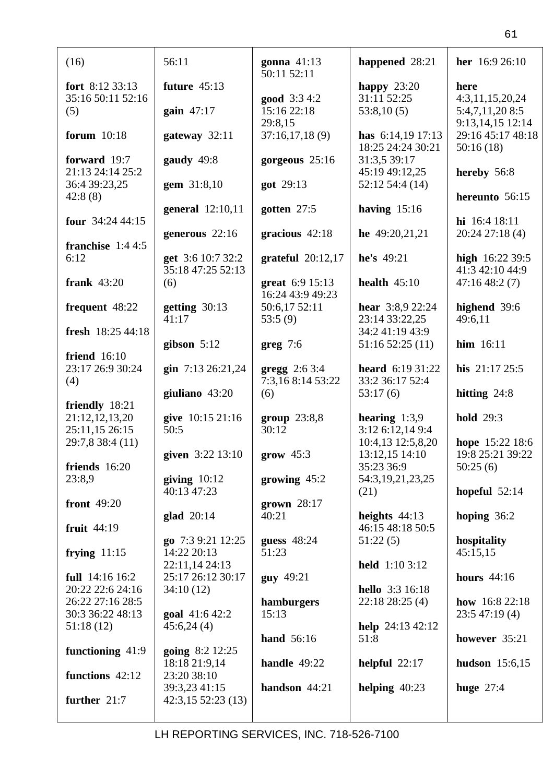| (16)                                    | 56:11                                 | gonna $41:13$<br>50:11 52:11               | happened 28:21                             | her 16:9 26:10                       |
|-----------------------------------------|---------------------------------------|--------------------------------------------|--------------------------------------------|--------------------------------------|
| fort $8:12\,33:13$<br>35:16 50:11 52:16 | future $45:13$                        | good 3:3 4:2                               | happy $23:20$<br>31:11 52:25               | here<br>4:3,11,15,20,24              |
| (5)                                     | gain $47:17$                          | 15:16 22:18<br>29:8,15                     | 53:8,10(5)                                 | 5:4,7,11,20 8:5<br>9:13,14,15 12:14  |
| forum 10:18                             | gateway 32:11                         | 37:16,17,18(9)                             | has $6:14,19$ 17:13<br>18:25 24:24 30:21   | 29:16 45:17 48:18<br>50:16(18)       |
| forward 19:7<br>21:13 24:14 25:2        | gaudy 49:8                            | gorgeous 25:16                             | 31:3,5 39:17<br>45:19 49:12,25             | hereby 56:8                          |
| 36:4 39:23,25<br>42:8(8)                | gem 31:8,10                           | got 29:13                                  | 52:12 54:4 (14)                            | hereunto 56:15                       |
| four $34:244:15$                        | general 12:10,11                      | gotten $27:5$                              | having $15:16$                             | hi 16:4 18:11                        |
| franchise $1:44:5$<br>6:12              | generous $22:16$<br>get 3:6 10:7 32:2 | gracious $42:18$                           | he $49:20,21,21$<br>he's 49:21             | $20:24$ 27:18 (4)<br>high 16:22 39:5 |
| frank $43:20$                           | 35:18 47:25 52:13<br>(6)              | grateful $20:12,17$<br>great 6:9 15:13     | health $45:10$                             | 41:3 42:10 44:9<br>47:16 48:2 (7)    |
| frequent 48:22                          | getting $30:13$                       | 16:24 43:9 49:23<br>50:6,17 52:11          | hear 3:8,9 22:24                           | highend 39:6                         |
| fresh 18:25 44:18                       | 41:17                                 | 53:5(9)                                    | 23:14 33:22,25<br>34:2 41:19 43:9          | 49:6,11                              |
| friend $16:10$                          | gibson $5:12$                         | $greg 7:6$                                 | 51:1652:25(11)                             | $\lim$ 16:11                         |
| 23:17 26:9 30:24<br>(4)                 | gin 7:13 26:21,24                     | <b>gregg</b> $2:63:4$<br>7:3,16 8:14 53:22 | heard 6:19 31:22<br>33:2 36:17 52:4        | his 21:17 25:5                       |
| friendly 18:21                          | giuliano 43:20                        | (6)                                        | 53:17(6)                                   | hitting $24:8$                       |
| 21:12,12,13,20<br>25:11,15 26:15        | give 10:15 21:16<br>50:5              | group 23:8,8<br>30:12                      | hearing $1:3,9$<br>3:12 6:12,14 9:4        | <b>hold</b> 29:3                     |
| 29:7,8 38:4 (11)                        | given 3:22 13:10                      | $grow$ 45:3                                | 10:4,13 12:5,8,20<br>13:12,15 14:10        | hope 15:22 18:6<br>19:8 25:21 39:22  |
| friends 16:20<br>23:8,9                 | giving $10:12$<br>40:13 47:23         | growing $45:2$                             | 35:23 36:9<br>54:3, 19, 21, 23, 25<br>(21) | 50:25(6)<br>hopeful $52:14$          |
| front 49:20                             | glad 20:14                            | grown $28:17$<br>40:21                     | heights $44:13$                            | hoping $36:2$                        |
| fruit $44:19$                           | go 7:3 9:21 12:25                     | guess $48:24$                              | 46:15 48:18 50:5<br>51:22(5)               | hospitality                          |
| frying $11:15$                          | 14:22 20:13<br>22:11,14 24:13         | 51:23                                      | <b>held</b> 1:10 3:12                      | 45:15,15                             |
| full 14:16 16:2<br>20:22 22:6 24:16     | 25:17 26:12 30:17<br>34:10(12)        | guy 49:21                                  | hello 3:3 16:18                            | hours $44:16$                        |
| 26:22 27:16 28:5<br>30:3 36:22 48:13    | <b>goal</b> $41:642:2$                | hamburgers<br>15:13                        | 22:18 28:25 (4)                            | how $16:822:18$<br>23:547:19(4)      |
| 51:18(12)                               | 45:6,24(4)                            | hand 56:16                                 | help $24:13\,42:12$<br>51:8                | however 35:21                        |
| functioning 41:9                        | going 8:2 12:25<br>18:18 21:9,14      | handle $49:22$                             | helpful $22:17$                            | hudson $15:6,15$                     |
| functions 42:12                         | 23:20 38:10<br>39:3,23 41:15          | handson 44:21                              | helping $40:23$                            | huge $27:4$                          |
| further 21:7                            | 42:3,1552:23(13)                      |                                            |                                            |                                      |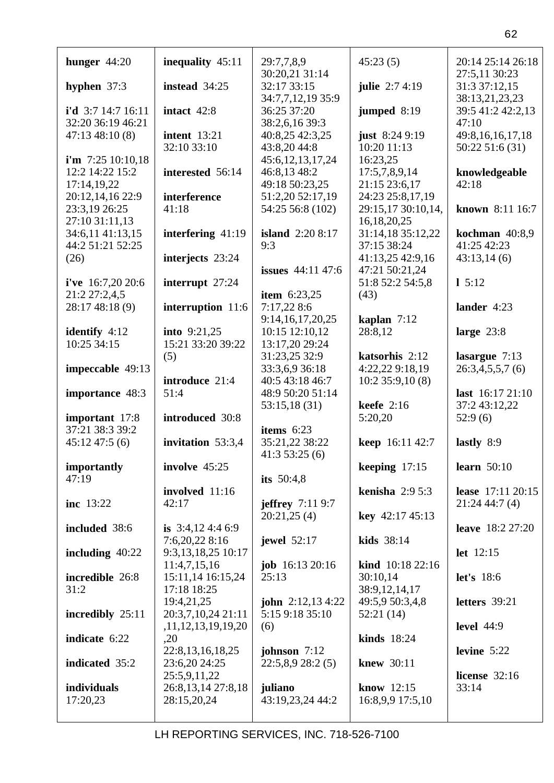| hunger $44:20$       | inequality 45:11      | 29:7,7,8,9                       | 45:23(5)               | 20:14 25:14 26:18                   |
|----------------------|-----------------------|----------------------------------|------------------------|-------------------------------------|
| hyphen $37:3$        | instead 34:25         | 30:20,21 31:14<br>32:17 33:15    | julie 2:7 4:19         | 27:5,11 30:23<br>31:3 37:12,15      |
| i'd $3:7$ 14:7 16:11 | intact 42:8           | 34:7,7,12,19 35:9<br>36:25 37:20 | jumped 8:19            | 38:13,21,23,23<br>39:5 41:2 42:2,13 |
| 32:20 36:19 46:21    |                       | 38:2,6,16 39:3                   |                        | 47:10                               |
| 47:1348:10(8)        | <b>intent</b> 13:21   | 40:8,25 42:3,25                  | just $8:249:19$        | 49:8, 16, 16, 17, 18                |
|                      |                       | 43:8,2044:8                      | 10:20 11:13            |                                     |
|                      | 32:10 33:10           |                                  |                        | 50:22 51:6 (31)                     |
| i'm $7:25$ 10:10,18  |                       | 45:6,12,13,17,24                 | 16:23,25               |                                     |
| 12:2 14:22 15:2      | interested 56:14      | 46:8,13 48:2                     | 17:5,7,8,9,14          | knowledgeable                       |
|                      |                       |                                  |                        |                                     |
| 17:14,19,22          |                       | 49:18 50:23,25                   | 21:15 23:6,17          | 42:18                               |
| 20:12,14,16 22:9     | interference          | 51:2,20 52:17,19                 | 24:23 25:8,17,19       |                                     |
| 23:3,19 26:25        | 41:18                 | 54:25 56:8 (102)                 | 29:15,17 30:10,14,     | known 8:11 16:7                     |
|                      |                       |                                  |                        |                                     |
| 27:10 31:11,13       |                       |                                  | 16, 18, 20, 25         |                                     |
| 34:6,11 41:13,15     | interfering 41:19     | <b>island</b> 2:20 8:17          | 31:14,18 35:12,22      | kochman $40:8,9$                    |
|                      |                       |                                  |                        |                                     |
| 44:2 51:21 52:25     |                       | 9:3                              | 37:15 38:24            | 41:25 42:23                         |
| (26)                 | interjects 23:24      |                                  | 41:13,25 42:9,16       | 43:13,14(6)                         |
|                      |                       | issues $44:11$ 47:6              | 47:21 50:21,24         |                                     |
|                      |                       |                                  |                        |                                     |
| i've $16:7,2020:6$   | interrupt 27:24       |                                  | 51:8 52:2 54:5,8       | $1\,5:12$                           |
| 21:2 27:2,4,5        |                       | <b>item</b> $6:23,25$            | (43)                   |                                     |
|                      |                       |                                  |                        |                                     |
| 28:17 48:18 (9)      | interruption 11:6     | 7:17,22 8:6                      |                        | lander 4:23                         |
|                      |                       | 9:14,16,17,20,25                 | kaplan $7:12$          |                                     |
| identify $4:12$      | <b>into</b> $9:21,25$ | 10:15 12:10,12                   | 28:8,12                | large $23:8$                        |
|                      |                       |                                  |                        |                                     |
| 10:25 34:15          | 15:21 33:20 39:22     | 13:17,20 29:24                   |                        |                                     |
|                      | (5)                   | 31:23,25 32:9                    | katsorhis 2:12         | lasargue 7:13                       |
|                      |                       |                                  |                        |                                     |
| impeccable 49:13     |                       | 33:3,6,9 36:18                   | 4:22,22 9:18,19        | 26:3,4,5,5,7(6)                     |
|                      | introduce 21:4        | 40:5 43:18 46:7                  | 10:235:9,10(8)         |                                     |
| importance 48:3      | 51:4                  | 48:9 50:20 51:14                 |                        | last 16:17 21:10                    |
|                      |                       |                                  |                        |                                     |
|                      |                       | 53:15,18(31)                     | keefe $2:16$           | 37:2 43:12,22                       |
| important 17:8       | introduced 30:8       |                                  |                        |                                     |
|                      |                       |                                  |                        |                                     |
|                      |                       |                                  | 5:20,20                | 52:9(6)                             |
| 37:21 38:3 39:2      |                       | items $6:23$                     |                        |                                     |
| 45:1247:5(6)         | invitation 53:3,4     | 35:21,22 38:22                   | keep 16:11 42:7        | lastly 8:9                          |
|                      |                       |                                  |                        |                                     |
|                      |                       | 41:353:25(6)                     |                        |                                     |
| importantly          | involve 45:25         |                                  | keeping $17:15$        | learn $50:10$                       |
| 47:19                |                       |                                  |                        |                                     |
|                      |                       | its $50:4,8$                     |                        |                                     |
|                      | involved 11:16        |                                  | kenisha $2:95:3$       | lease 17:11 20:15                   |
| inc 13:22            | 42:17                 | jeffrey $7:119:7$                |                        | 21:2444:7(4)                        |
|                      |                       |                                  |                        |                                     |
|                      |                       | 20:21,25(4)                      | <b>key</b> 42:17 45:13 |                                     |
| included 38:6        | is $3:4,124:46:9$     |                                  |                        | <b>leave</b> 18:2 27:20             |
|                      | 7:6,20,22 8:16        | jewel 52:17                      | kids 38:14             |                                     |
|                      |                       |                                  |                        |                                     |
| including $40:22$    | 9:3,13,18,25 10:17    |                                  |                        | $let$ 12:15                         |
|                      | 11:4,7,15,16          | job 16:13 20:16                  | kind 10:18 22:16       |                                     |
|                      |                       | 25:13                            |                        |                                     |
| incredible 26:8      | 15:11,14 16:15,24     |                                  | 30:10,14               | <b>let's</b> 18:6                   |
| 31:2                 | 17:18 18:25           |                                  | 38:9,12,14,17          |                                     |
|                      | 19:4,21,25            | <b>john</b> $2:12,134:22$        | 49:5,9 50:3,4,8        | letters 39:21                       |
|                      |                       |                                  |                        |                                     |
| incredibly 25:11     | 20:3,7,10,24 21:11    | 5:15 9:18 35:10                  | 52:21(14)              |                                     |
|                      | ,11,12,13,19,19,20    | (6)                              |                        | <b>level</b> 44:9                   |
| indicate 6:22        | ,20                   |                                  | kinds $18:24$          |                                     |
|                      |                       |                                  |                        |                                     |
|                      | 22:8, 13, 16, 18, 25  | johnson $7:12$                   |                        | levine $5:22$                       |
| indicated 35:2       | 23:6,20 24:25         | 22:5,8,928:2(5)                  | knew 30:11             |                                     |
|                      | 25:5,9,11,22          |                                  |                        | license $32:16$                     |
|                      |                       |                                  |                        |                                     |
| individuals          | 26:8, 13, 14 27:8, 18 | juliano                          | know 12:15             | 33:14                               |
| 17:20,23             | 28:15,20,24           | 43:19,23,24 44:2                 | 16:8,9,9 17:5,10       |                                     |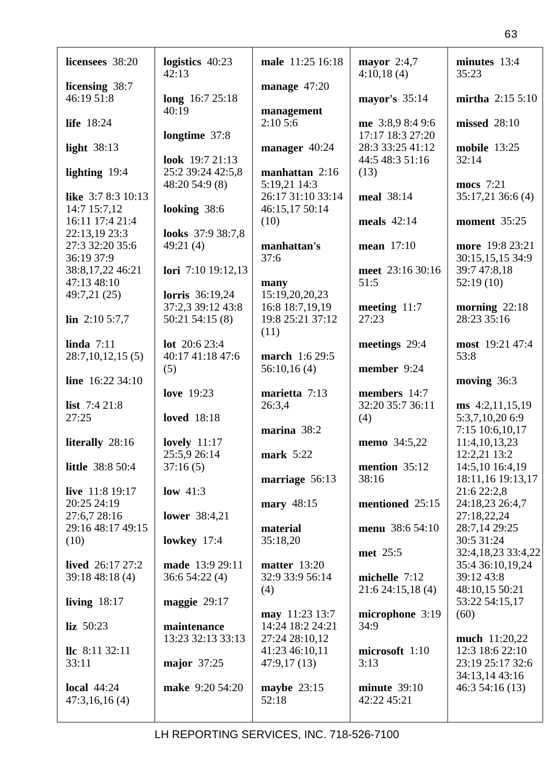| licensees 38:20          | logistics 40:23<br>42:13 | male 11:25 16:18  | mayor $2:4,7$<br>4:10,18(4) | minutes 13:4<br>35:23 |
|--------------------------|--------------------------|-------------------|-----------------------------|-----------------------|
| licensing 38:7           |                          | manage $47:20$    |                             |                       |
| 46:19 51:8               | long 16:7 25:18          |                   | mayor's 35:14               | mirtha $2:155:10$     |
|                          | 40:19                    |                   |                             |                       |
|                          |                          | management        |                             |                       |
| life 18:24               |                          | 2:105:6           | me 3:8,9 8:4 9:6            | missed 28:10          |
|                          | longtime 37:8            |                   | 17:17 18:3 27:20            |                       |
| light $38:13$            |                          | manager 40:24     | 28:3 33:25 41:12            | <b>mobile</b> 13:25   |
|                          | look 19:7 21:13          |                   | 44:5 48:3 51:16             | 32:14                 |
| lighting 19:4            | 25:2 39:24 42:5,8        | manhattan 2:16    | (13)                        |                       |
|                          | 48:20 54:9 (8)           | 5:19,21 14:3      |                             | mocs 7:21             |
| like 3:7 8:3 10:13       |                          | 26:17 31:10 33:14 | meal 38:14                  | 35:17,21 36:6 (4)     |
| 14:7 15:7,12             | looking 38:6             | 46:15,17 50:14    |                             |                       |
| 16:11 17:4 21:4          |                          |                   | meals $42:14$               |                       |
|                          |                          | (10)              |                             | moment 35:25          |
| 22:13,19 23:3            | looks 37:9 38:7,8        |                   |                             |                       |
| 27:3 32:20 35:6          | 49:21(4)                 | manhattan's       | mean 17:10                  | more 19:8 23:21       |
| 36:19 37:9               |                          | 37:6              |                             | 30:15,15,15 34:9      |
| 38:8,17,22 46:21         | lori 7:10 19:12,13       |                   | meet 23:16 30:16            | 39:7 47:8,18          |
| 47:13 48:10              |                          | many              | 51:5                        | 52:19(10)             |
| 49:7,21 (25)             | <b>lorris</b> 36:19,24   | 15:19,20,20,23    |                             |                       |
|                          | 37:2,3 39:12 43:8        | 16:8 18:7,19,19   | meeting $11:7$              | morning $22:18$       |
| $\ln 2:105:7,7$          | $50:21$ $54:15(8)$       | 19:8 25:21 37:12  | 27:23                       | 28:23 35:16           |
|                          |                          | (11)              |                             |                       |
| linda $7:11$             | lot 20:6 23:4            |                   | meetings 29:4               | most 19:21 47:4       |
| 28:7,10,12,15(5)         | 40:17 41:18 47:6         | march 1:6 29:5    |                             | 53:8                  |
|                          |                          |                   |                             |                       |
|                          | (5)                      | 56:10,16(4)       | member 9:24                 |                       |
|                          |                          |                   |                             |                       |
| line $16:22$ 34:10       |                          |                   |                             | moving $36:3$         |
|                          | <b>love</b> 19:23        | marietta 7:13     | members 14:7                |                       |
| list $7:421:8$           |                          | 26:3,4            | 32:20 35:7 36:11            | $ms\;4:2,11,15,19$    |
| 27:25                    | <b>loved</b> 18:18       |                   | (4)                         | 5:3,7,10,20 6:9       |
|                          |                          | marina 38:2       |                             | 7:15 10:6,10,17       |
| literally 28:16          | lovely $11:17$           |                   | <b>memo</b> 34:5,22         | 11:4, 10, 13, 23      |
|                          |                          |                   |                             |                       |
|                          | 25:5,9 26:14             | mark $5:22$       |                             | 12:2,21 13:2          |
| little 38:8 50:4         | 37:16(5)                 |                   | mention 35:12               | 14:5,10 16:4,19       |
|                          |                          | marriage 56:13    | 38:16                       | 18:11,16 19:13,17     |
| live 11:8 19:17          | low $41:3$               |                   |                             | 21:6 22:2,8           |
| 20:25 24:19              |                          | mary $48:15$      | mentioned 25:15             | 24:18,23 26:4,7       |
| 27:6,7 28:16             | lower $38:4,21$          |                   |                             | 27:18,22,24           |
| 29:16 48:17 49:15        |                          | material          | menu 38:6 54:10             | 28:7,14 29:25         |
| (10)                     | lowkey $17:4$            | 35:18,20          |                             | 30:5 31:24            |
|                          |                          |                   | met 25:5                    | 32:4,18,23 33:4,22    |
| lived $26:1727:2$        | made 13:9 29:11          | matter $13:20$    |                             | 35:4 36:10,19,24      |
| 39:1848:18(4)            | 36:654:22(4)             | 32:9 33:9 56:14   | michelle 7:12               | 39:12 43:8            |
|                          |                          |                   |                             |                       |
|                          |                          | (4)               | 21:624:15,18(4)             | 48:10,15 50:21        |
| living $18:17$           | maggie 29:17             |                   |                             | 53:22 54:15,17        |
|                          |                          | may 11:23 13:7    | microphone 3:19             | (60)                  |
| $liz$ 50:23              | maintenance              | 14:24 18:2 24:21  | 34:9                        |                       |
|                          | 13:23 32:13 33:13        | 27:24 28:10,12    |                             | much 11:20,22         |
| $\text{llc} 8:11\,32:11$ |                          | 41:23 46:10,11    | microsoft 1:10              | 12:3 18:6 22:10       |
| 33:11                    | major 37:25              | 47:9,17(13)       | 3:13                        | 23:19 25:17 32:6      |
|                          |                          |                   |                             | 34:13,14 43:16        |
| local $44:24$            | make 9:20 54:20          | maybe $23:15$     | minute $39:10$              | 46:354:16(13)         |
| 47:3,16,16(4)            |                          | 52:18             | 42:22 45:21                 |                       |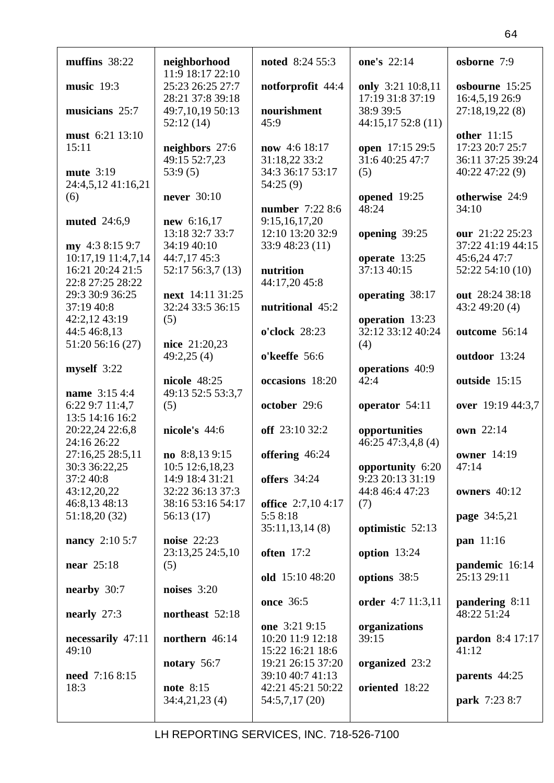| muffins $38:22$                       | neighborhood                           | noted 8:24 55:3                      | one's 22:14                        | osborne 7:9                          |
|---------------------------------------|----------------------------------------|--------------------------------------|------------------------------------|--------------------------------------|
| music $19:3$                          | 11:9 18:17 22:10<br>25:23 26:25 27:7   | notforprofit 44:4                    | only 3:21 10:8,11                  | osbourne 15:25                       |
|                                       | 28:21 37:8 39:18                       |                                      | 17:19 31:8 37:19                   | 16:4,5,19 26:9                       |
| musicians 25:7                        | 49:7,10,19 50:13                       | nourishment                          | 38:9 39:5                          | 27:18,19,22(8)                       |
|                                       | 52:12(14)                              | 45:9                                 | 44:15,1752:8(11)                   |                                      |
| must 6:21 13:10                       |                                        |                                      |                                    | other 11:15                          |
| 15:11                                 | neighbors 27:6                         | now 4:6 18:17                        | open 17:15 29:5<br>31:6 40:25 47:7 | 17:23 20:7 25:7                      |
| mute 3:19                             | 49:15 52:7,23<br>53:9(5)               | 31:18,22 33:2<br>34:3 36:17 53:17    | (5)                                | 36:11 37:25 39:24<br>40:22 47:22 (9) |
| 24:4,5,12 41:16,21                    |                                        | 54:25(9)                             |                                    |                                      |
| (6)                                   | never 30:10                            |                                      | opened 19:25                       | otherwise 24:9                       |
|                                       |                                        | number 7:22 8:6                      | 48:24                              | 34:10                                |
| muted 24:6,9                          | new 6:16,17                            | 9:15,16,17,20                        |                                    |                                      |
|                                       | 13:18 32:7 33:7                        | 12:10 13:20 32:9                     | opening 39:25                      | our 21:22 25:23                      |
| my 4:3 8:15 9:7<br>10:17,19 11:4,7,14 | 34:19 40:10<br>44:7,17 45:3            | 33:9 48:23 (11)                      | operate 13:25                      | 37:22 41:19 44:15<br>45:6,24 47:7    |
| 16:21 20:24 21:5                      | 52:17 56:3,7 (13)                      | nutrition                            | 37:13 40:15                        | 52:22 54:10 (10)                     |
| 22:8 27:25 28:22                      |                                        | 44:17,20 45:8                        |                                    |                                      |
| 29:3 30:9 36:25                       | next 14:11 31:25                       |                                      | operating 38:17                    | out 28:24 38:18                      |
| 37:19 40:8                            | 32:24 33:5 36:15                       | nutritional 45:2                     |                                    | 43:249:20(4)                         |
| 42:2,12 43:19                         | (5)                                    |                                      | operation 13:23                    |                                      |
| 44:5 46:8,13                          |                                        | o'clock 28:23                        | 32:12 33:12 40:24                  | outcome 56:14                        |
| 51:20 56:16 (27)                      | nice 21:20,23                          |                                      | (4)                                |                                      |
| myself 3:22                           | 49:2,25(4)                             | o'keeffe 56:6                        | operations 40:9                    | outdoor 13:24                        |
|                                       | nicole 48:25                           | occasions 18:20                      | 42:4                               | outside 15:15                        |
| name 3:15 4:4                         | 49:13 52:5 53:3,7                      |                                      |                                    |                                      |
| 6:22 9:7 11:4,7                       | (5)                                    | october 29:6                         | operator 54:11                     | over 19:19 44:3,7                    |
| 13:5 14:16 16:2                       |                                        |                                      |                                    |                                      |
| 20:22,24 22:6,8                       | nicole's 44:6                          | off 23:10 32:2                       | opportunities                      | own 22:14                            |
| 24:16 26:22<br>27:16,25 28:5,11       | no 8:8,139:15                          | offering 46:24                       | 46:25 47:3,4,8 (4)                 | <b>owner</b> 14:19                   |
| 30:3 36:22,25                         | 10:5 12:6,18,23                        |                                      | opportunity 6:20                   | 47:14                                |
| 37:2 40:8                             | 14:9 18:4 31:21                        | <b>offers</b> 34:24                  | 9:23 20:13 31:19                   |                                      |
| 43:12,20,22                           | 32:22 36:13 37:3                       |                                      | 44:8 46:4 47:23                    | owners 40:12                         |
| 46:8,13 48:13                         | 38:16 53:16 54:17                      | office 2:7,10 4:17                   | (7)                                |                                      |
| 51:18,20 (32)                         | 56:13(17)                              | 5:5 8:18                             |                                    | page 34:5,21                         |
|                                       |                                        | 35:11,13,14(8)                       | optimistic 52:13                   |                                      |
| nancy 2:10 5:7                        | <b>noise</b> 22:23<br>23:13,25 24:5,10 | often 17:2                           | option $13:24$                     | pan 11:16                            |
| near $25:18$                          | (5)                                    |                                      |                                    | pandemic 16:14                       |
|                                       |                                        | old 15:10 48:20                      | options 38:5                       | 25:13 29:11                          |
| nearby 30:7                           | noises $3:20$                          |                                      |                                    |                                      |
|                                       |                                        | once 36:5                            | order 4:7 11:3,11                  | pandering 8:11                       |
| nearly $27:3$                         | northeast 52:18                        |                                      |                                    | 48:22 51:24                          |
|                                       |                                        | one 3:21 9:15                        | organizations<br>39:15             |                                      |
| necessarily 47:11<br>49:10            | northern 46:14                         | 10:20 11:9 12:18<br>15:22 16:21 18:6 |                                    | pardon 8:4 17:17<br>41:12            |
|                                       | notary $56:7$                          | 19:21 26:15 37:20                    | organized 23:2                     |                                      |
| need 7:16 8:15                        |                                        | 39:10 40:7 41:13                     |                                    | parents 44:25                        |
| 18:3                                  | note 8:15                              | 42:21 45:21 50:22                    | oriented 18:22                     |                                      |
|                                       | 34:4,21,23(4)                          | 54:5,7,17 (20)                       |                                    | park 7:23 8:7                        |
|                                       |                                        |                                      |                                    |                                      |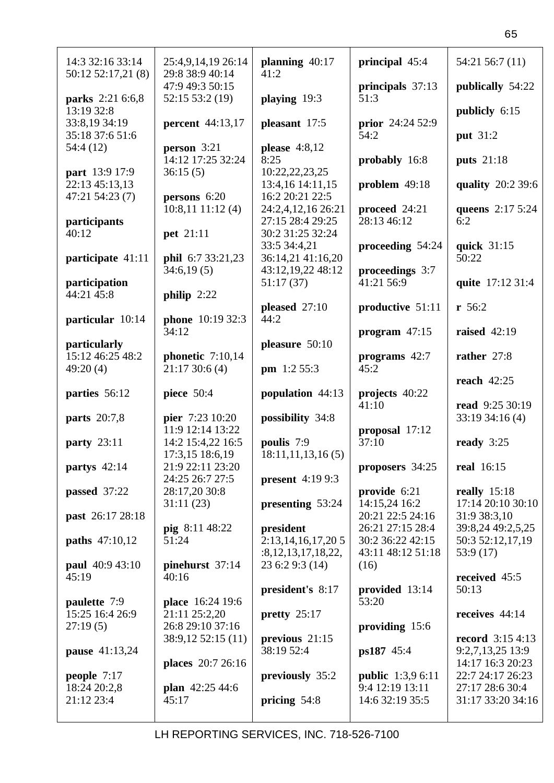| 14:3 32:16 33:14                 | 25:4,9,14,19 26:14                    | planning 40:17                              | principal 45:4                       | 54:21 56:7 (11)                              |
|----------------------------------|---------------------------------------|---------------------------------------------|--------------------------------------|----------------------------------------------|
| 50:12 52:17,21 (8)               | 29:8 38:9 40:14<br>47:9 49:3 50:15    | 41:2                                        | principals 37:13                     | publically 54:22                             |
| parks 2:21 6:6,8<br>13:19 32:8   | 52:15 53:2 (19)                       | playing 19:3                                | 51:3                                 | publicly 6:15                                |
| 33:8,19 34:19<br>35:18 37:6 51:6 | <b>percent</b> 44:13,17               | pleasant 17:5                               | prior 24:24 52:9<br>54:2             | put 31:2                                     |
| 54:4 (12)                        | person $3:21$<br>14:12 17:25 32:24    | please $4:8,12$<br>8:25                     | probably 16:8                        | puts 21:18                                   |
| part 13:9 17:9<br>22:13 45:13,13 | 36:15(5)                              | 10:22,22,23,25<br>13:4,16 14:11,15          |                                      | quality 20:2 39:6                            |
| 47:21 54:23 (7)                  | persons 6:20                          | 16:2 20:21 22:5                             | problem $49:18$                      |                                              |
| participants                     | $10:8,11$ $11:12$ (4)                 | 24:2,4,12,16 26:21<br>27:15 28:4 29:25      | proceed 24:21<br>28:13 46:12         | queens 2:17 5:24<br>6:2                      |
| 40:12                            | pet 21:11                             | 30:2 31:25 32:24<br>33:5 34:4,21            | proceeding 54:24                     | quick 31:15                                  |
| participate 41:11                | phil 6:7 33:21,23<br>34:6,19(5)       | 36:14,21 41:16,20<br>43:12,19,22 48:12      | proceedings 3:7                      | 50:22                                        |
| participation<br>44:21 45:8      | philip $2:22$                         | 51:17(37)                                   | 41:21 56:9                           | quite 17:12 31:4                             |
|                                  |                                       | pleased 27:10                               | productive 51:11                     | r 56:2                                       |
| particular 10:14                 | phone 10:19 32:3<br>34:12             | 44:2                                        | program $47:15$                      | raised $42:19$                               |
| particularly<br>15:12 46:25 48:2 | phonetic 7:10,14                      | pleasure 50:10                              | programs 42:7                        | rather 27:8                                  |
| 49:20(4)                         | 21:1730:6(4)                          | pm 1:2 55:3                                 | 45:2                                 | reach $42:25$                                |
|                                  |                                       |                                             |                                      |                                              |
| parties 56:12                    | piece $50:4$                          | population 44:13                            | projects 40:22<br>41:10              | read 9:25 30:19                              |
| <b>parts</b> 20:7,8              | <b>pier</b> 7:23 10:20                | possibility 34:8                            |                                      | 33:19 34:16 (4)                              |
| <b>party</b> 23:11               | 11:9 12:14 13:22<br>14:2 15:4,22 16:5 | poulis 7:9                                  | proposal 17:12<br>37:10              | ready $3:25$                                 |
| partys $42:14$                   | 17:3,15 18:6,19<br>21:9 22:11 23:20   | 18:11,11,13,16(5)                           | proposers 34:25                      | real 16:15                                   |
| passed 37:22                     | 24:25 26:7 27:5<br>28:17,20 30:8      | present $4:199:3$                           | provide 6:21                         | really $15:18$                               |
| <b>past</b> 26:17 28:18          | 31:11(23)                             | presenting 53:24                            | 14:15,24 16:2<br>20:21 22:5 24:16    | 17:14 20:10 30:10<br>31:9 38:3,10            |
| <b>paths</b> $47:10,12$          | pig 8:11 48:22<br>51:24               | president<br>2:13,14,16,17,205              | 26:21 27:15 28:4<br>30:2 36:22 42:15 | 39:8,24 49:2,5,25<br>50:3 52:12,17,19        |
| <b>paul</b> 40:9 43:10           | pinehurst 37:14                       | : 8, 12, 13, 17, 18, 22,<br>23 6:2 9:3 (14) | 43:11 48:12 51:18<br>(16)            | 53:9 (17)                                    |
| 45:19                            | 40:16                                 |                                             |                                      | received 45:5                                |
| paulette 7:9                     | place 16:24 19:6                      | president's 8:17                            | provided 13:14<br>53:20              | 50:13                                        |
| 15:25 16:4 26:9<br>27:19(5)      | 21:11 25:2,20<br>26:8 29:10 37:16     | pretty $25:17$                              | providing 15:6                       | receives $44:14$                             |
| <b>pause</b> 41:13,24            | 38:9,12 52:15 (11)                    | previous $21:15$<br>38:19 52:4              | <b>ps187</b> 45:4                    | <b>record</b> $3:154:13$<br>9:2,7,13,25 13:9 |
| people $7:17$                    | places 20:7 26:16                     | previously 35:2                             | <b>public</b> 1:3,9 6:11             | 14:17 16:3 20:23<br>22:7 24:17 26:23         |
| 18:24 20:2,8<br>21:12 23:4       | plan $42:2544:6$<br>45:17             | pricing $54:8$                              | 9:4 12:19 13:11<br>14:6 32:19 35:5   | 27:17 28:6 30:4<br>31:17 33:20 34:16         |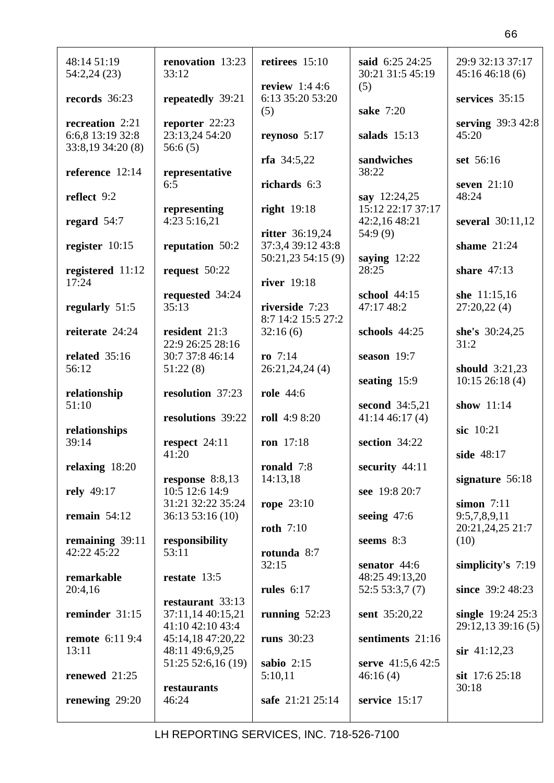| 48:14 51:19<br>54:2,24(23)                               | renovation 13:23<br>33:12                               | retirees $15:10$                           | said 6:25 24:25<br>30:21 31:5 45:19 | 29:9 32:13 37:17<br>45:1646:18(6)         |
|----------------------------------------------------------|---------------------------------------------------------|--------------------------------------------|-------------------------------------|-------------------------------------------|
| records 36:23                                            | repeatedly 39:21                                        | review $1:44:6$<br>6:13 35:20 53:20<br>(5) | (5)<br>sake 7:20                    | services 35:15                            |
| recreation 2:21<br>6:6,8 13:19 32:8<br>33:8,19 34:20 (8) | reporter 22:23<br>23:13,24 54:20<br>56:6(5)             | reynoso $5:17$                             | salads $15:13$                      | serving 39:3 42:8<br>45:20                |
| reference 12:14                                          | representative<br>6:5                                   | rfa $34:5,22$<br>richards 6:3              | sandwiches<br>38:22                 | set 56:16<br>seven $21:10$                |
| reflect 9:2                                              | representing                                            | right $19:18$                              | say 12:24,25<br>15:12 22:17 37:17   | 48:24                                     |
| regard $54:7$                                            | 4:23 5:16,21                                            | ritter 36:19,24                            | 42:2,16 48:21<br>54:9(9)            | several 30:11,12                          |
| register $10:15$                                         | reputation 50:2                                         | 37:3,4 39:12 43:8<br>50:21,23 54:15 (9)    | saying $12:22$                      | shame $21:24$                             |
| registered 11:12<br>17:24                                | request $50:22$                                         | river 19:18                                | 28:25                               | share $47:13$                             |
| regularly 51:5                                           | requested 34:24<br>35:13                                | riverside 7:23<br>8:7 14:2 15:5 27:2       | school $44:15$<br>47:17 48:2        | she $11:15,16$<br>27:20,22(4)             |
| reiterate 24:24                                          | resident 21:3<br>22:9 26:25 28:16                       | 32:16(6)                                   | schools 44:25                       | she's 30:24,25<br>31:2                    |
| related 35:16<br>56:12                                   | 30:7 37:8 46:14<br>51:22(8)                             | ro $7:14$<br>26:21,24,24 (4)               | season $19:7$                       | should $3:21,23$                          |
|                                                          |                                                         |                                            |                                     |                                           |
| relationship<br>51:10                                    | resolution 37:23                                        | <b>role</b> 44:6                           | seating $15:9$<br>second 34:5,21    | $10:15$ 26:18 (4)<br>show 11:14           |
| relationships                                            | resolutions 39:22                                       | roll 4:9 8:20                              | 41:1446:17(4)                       | sic 10:21                                 |
| 39:14                                                    | respect 24:11<br>41:20                                  | ron 17:18                                  | section 34:22                       | side 48:17                                |
| relaxing 18:20                                           | response $8:8,13$                                       | ronald 7:8<br>14:13,18                     | security 44:11                      | signature $56:18$                         |
| rely 49:17<br>remain $54:12$                             | 10:5 12:6 14:9<br>31:21 32:22 35:24<br>36:13 53:16 (10) | rope $23:10$                               | see 19:8 20:7<br>seeing 47:6        | simon $7:11$<br>9:5,7,8,9,11              |
| remaining $39:11$                                        | responsibility                                          | roth $7:10$                                | seems $8:3$                         | 20:21,24,25 21:7<br>(10)                  |
| 42:22 45:22                                              | 53:11                                                   | rotunda 8:7<br>32:15                       | senator 44:6                        | simplicity's $7:19$                       |
| remarkable<br>20:4,16                                    | restate 13:5<br>restaurant 33:13                        | rules $6:17$                               | 48:25 49:13,20<br>52:553:37(7)      | since 39:2 48:23                          |
| reminder 31:15                                           | 37:11,14 40:15,21<br>41:10 42:10 43:4                   | running $52:23$                            | sent 35:20,22                       | single $19:24$ 25:3<br>29:12,13 39:16 (5) |
| <b>remote</b> 6:11 9:4<br>13:11                          | 45:14,18 47:20,22<br>48:11 49:6,9,25                    | runs 30:23                                 | sentiments 21:16                    | $\sin$ 41:12,23                           |
| renewed 21:25                                            | 51:25 52:6,16 (19)                                      | sabio $2:15$<br>5:10,11                    | serve 41:5,6 42:5<br>46:16(4)       | sit $17:625:18$                           |
| renewing $29:20$                                         | restaurants<br>46:24                                    | safe 21:21 25:14                           | service 15:17                       | 30:18                                     |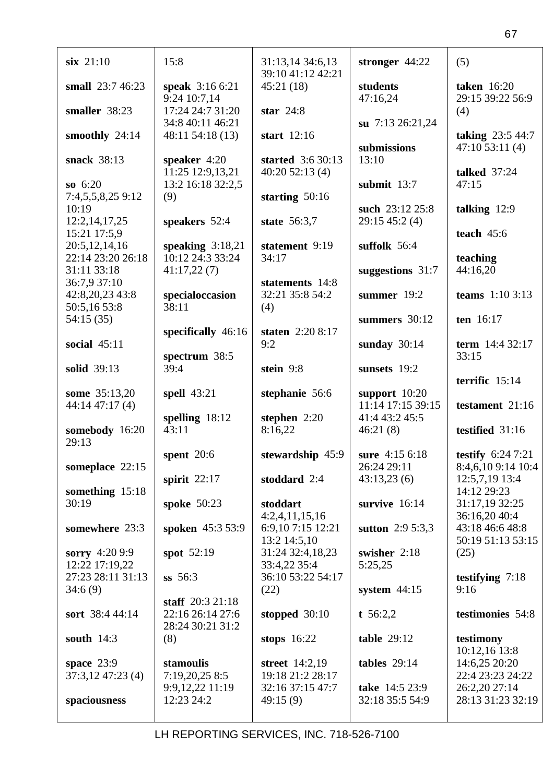| $six$ 21:10       | 15:8                            | 31:13,14 34:6,13                     | stronger 44:22       | (5)                                      |
|-------------------|---------------------------------|--------------------------------------|----------------------|------------------------------------------|
|                   |                                 | 39:10 41:12 42:21                    |                      |                                          |
| small 23:7 46:23  | speak 3:16 6:21<br>9:24 10:7,14 | 45:21(18)                            | students<br>47:16,24 | <b>taken</b> 16:20<br>29:15 39:22 56:9   |
| smaller 38:23     | 17:24 24:7 31:20                | star $24:8$                          |                      |                                          |
|                   | 34:8 40:11 46:21                |                                      | su 7:13 26:21,24     | (4)                                      |
| smoothly 24:14    | 48:11 54:18 (13)                | start $12:16$                        |                      | taking 23:5 44:7                         |
|                   |                                 |                                      | submissions          | 47:1053:11(4)                            |
| snack 38:13       | speaker $4:20$                  | started 3:6 30:13                    | 13:10                |                                          |
|                   | 11:25 12:9,13,21                | 40:2052:13(4)                        |                      | <b>talked</b> 37:24                      |
| so $6:20$         | 13:2 16:18 32:2,5               |                                      | submit $13:7$        | 47:15                                    |
| 7:4,5,5,8,25 9:12 | (9)                             | starting $50:16$                     |                      |                                          |
| 10:19             |                                 |                                      | such 23:12 25:8      | talking $12:9$                           |
| 12:2,14,17,25     | speakers 52:4                   | state 56:3,7                         | 29:15 45:2 (4)       |                                          |
| 15:21 17:5,9      |                                 |                                      |                      | teach $45:6$                             |
| 20:5,12,14,16     | speaking $3:18,21$              | statement 9:19                       | suffolk 56:4         |                                          |
| 22:14 23:20 26:18 | 10:12 24:3 33:24                | 34:17                                |                      | teaching                                 |
| 31:11 33:18       | 41:17,22(7)                     |                                      | suggestions $31:7$   | 44:16,20                                 |
| 36:7,9 37:10      |                                 | statements 14:8                      |                      |                                          |
| 42:8,20,23 43:8   | specialoccasion                 | 32:21 35:8 54:2                      | summer 19:2          | teams $1:103:13$                         |
| 50:5,16 53:8      | 38:11                           | (4)                                  |                      |                                          |
| 54:15(35)         |                                 |                                      | summers 30:12        | ten 16:17                                |
|                   | specifically $46:16$            | staten 2:20 8:17                     |                      |                                          |
| social $45:11$    |                                 | 9:2                                  | sunday $30:14$       | term 14:4 32:17                          |
|                   | spectrum 38:5                   |                                      |                      | 33:15                                    |
| solid 39:13       | 39:4                            | stein 9:8                            | sunsets 19:2         | terrific 15:14                           |
|                   |                                 |                                      |                      |                                          |
|                   |                                 |                                      |                      |                                          |
| some 35:13,20     | spell 43:21                     | stephanie 56:6                       | support $10:20$      |                                          |
| 44:14 47:17 (4)   |                                 |                                      | 11:14 17:15 39:15    | testament 21:16                          |
|                   | spelling $18:12$                | stephen $2:20$                       | 41:4 43:2 45:5       |                                          |
| somebody 16:20    | 43:11                           | 8:16,22                              | 46:21(8)             | testified 31:16                          |
| 29:13             |                                 |                                      | sure 4:15 6:18       |                                          |
| someplace 22:15   | spent $20:6$                    | stewardship 45:9                     | 26:24 29:11          | testify $6:247:21$<br>8:4,6,10 9:14 10:4 |
|                   | spirit $22:17$                  | stoddard 2:4                         | 43:13,23(6)          | 12:5,7,19 13:4                           |
| something 15:18   |                                 |                                      |                      | 14:12 29:23                              |
| 30:19             | spoke 50:23                     | stoddart                             | survive 16:14        | 31:17,19 32:25                           |
|                   |                                 | 4:2,4,11,15,16                       |                      | 36:16,20 40:4                            |
| somewhere 23:3    | spoken 45:3 53:9                | 6:9,107:15 12:21                     | sutton 2:9 5:3,3     | 43:18 46:6 48:8                          |
|                   |                                 | 13:2 14:5,10                         |                      | 50:19 51:13 53:15                        |
| sorry 4:20 9:9    | spot 52:19                      | 31:24 32:4,18,23                     | swisher 2:18         | (25)                                     |
| 12:22 17:19,22    |                                 | 33:4,22 35:4                         | 5:25,25              |                                          |
| 27:23 28:11 31:13 | $ss$ 56:3                       | 36:10 53:22 54:17                    |                      | testifying $7:18$                        |
| 34:6(9)           |                                 | (22)                                 | system $44:15$       | 9:16                                     |
|                   | staff $20:321:18$               |                                      |                      |                                          |
| sort 38:4 44:14   | 22:16 26:14 27:6                | stopped $30:10$                      | t $56:2,2$           | testimonies 54:8                         |
|                   | 28:24 30:21 31:2                |                                      |                      |                                          |
| south $14:3$      | (8)                             | stops $16:22$                        | table $29:12$        | testimony                                |
|                   |                                 |                                      |                      | 10:12,16 13:8                            |
| space $23:9$      | stamoulis                       | street $14:2,19$                     | tables $29:14$       | 14:6,25 20:20                            |
| 37:3,12 47:23 (4) | 7:19,20,25 8:5                  | 19:18 21:2 28:17<br>32:16 37:15 47:7 | take 14:5 23:9       | 22:4 23:23 24:22                         |
| spaciousness      | 9:9,12,22 11:19<br>12:23 24:2   | 49:15(9)                             | 32:18 35:5 54:9      | 26:2,20 27:14<br>28:13 31:23 32:19       |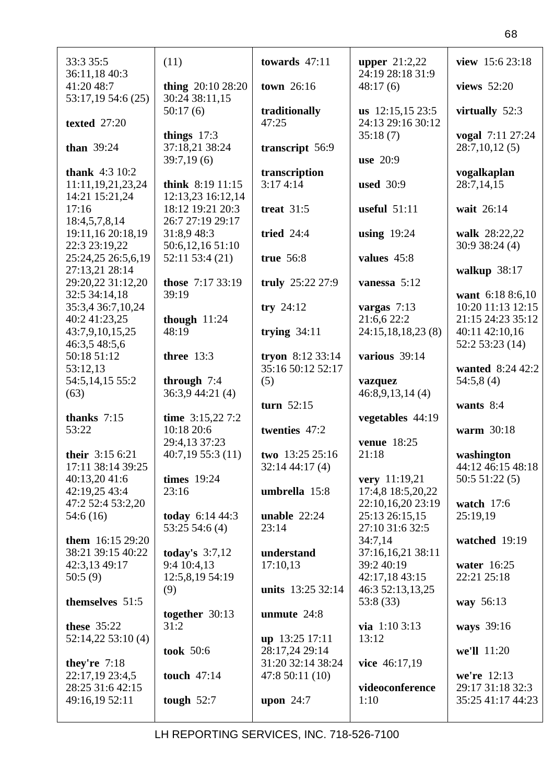| 33:3 35:5                                   | (11)                                  | towards $47:11$           | <b>upper</b> $21:2,22$<br>24:19 28:18 31:9 | view 15:6 23:18           |
|---------------------------------------------|---------------------------------------|---------------------------|--------------------------------------------|---------------------------|
| 36:11,18 40:3<br>41:20 48:7                 | thing $20:1028:20$                    | town 26:16                | 48:17(6)                                   | views 52:20               |
| 53:17,19 54:6 (25)                          | 30:24 38:11,15<br>50:17(6)            | traditionally             | us $12:15,1523:5$                          | virtually 52:3            |
| texted 27:20                                | things $17:3$                         | 47:25                     | 24:13 29:16 30:12<br>35:18(7)              | vogal 7:11 27:24          |
| than $39:24$                                | 37:18,21 38:24                        | transcript 56:9           |                                            | 28:7,10,12(5)             |
|                                             | 39:7,19(6)                            |                           | use 20:9                                   |                           |
| <b>thank</b> $4:310:2$<br>11:11,19,21,23,24 | think $8:19$ 11:15                    | transcription<br>3:174:14 | <b>used</b> 30:9                           | vogalkaplan<br>28:7,14,15 |
| 14:21 15:21,24<br>17:16                     | 12:13,23 16:12,14<br>18:12 19:21 20:3 | treat $31:5$              | useful $51:11$                             | wait 26:14                |
| 18:4,5,7,8,14                               | 26:7 27:19 29:17                      |                           |                                            |                           |
| 19:11,16 20:18,19                           | 31:8,9 48:3                           | tried 24:4                | using $19:24$                              | walk 28:22,22             |
| 22:3 23:19,22                               | 50:6,12,16 51:10                      |                           |                                            | 30:938:24(4)              |
| 25:24,25 26:5,6,19                          | 52:11 53:4 (21)                       | true 56:8                 | values 45:8                                |                           |
| 27:13,21 28:14                              |                                       |                           |                                            | walkup 38:17              |
| 29:20,22 31:12,20                           | those 7:17 33:19                      | truly 25:22 27:9          | vanessa 5:12                               |                           |
| 32:5 34:14,18                               | 39:19                                 |                           |                                            | want 6:18 8:6,10          |
| 35:3,4 36:7,10,24                           |                                       | try 24:12                 |                                            | 10:20 11:13 12:15         |
|                                             |                                       |                           | vargas $7:13$                              |                           |
| 40:2 41:23,25                               | though $11:24$                        |                           | 21:6,6 22:2                                | 21:15 24:23 35:12         |
| 43:7,9,10,15,25                             | 48:19                                 | trying $34:11$            | 24:15,18,18,23 (8)                         | 40:11 42:10,16            |
| 46:3,5 48:5,6                               |                                       |                           |                                            | 52:253:23(14)             |
| 50:18 51:12                                 | three 13:3                            | tryon 8:12 33:14          | various 39:14                              |                           |
| 53:12,13                                    |                                       | 35:16 50:12 52:17         |                                            | wanted 8:24 42:2          |
| 54:5,14,15 55:2                             | through $7:4$                         | (5)                       | vazquez                                    | 54:5,8(4)                 |
| (63)                                        | 36:3,9 44:21 (4)                      |                           | 46:8,9,13,14(4)                            |                           |
|                                             |                                       | turn $52:15$              |                                            | wants $8:4$               |
| thanks $7:15$                               | time $3:15,227:2$                     |                           | vegetables 44:19                           |                           |
|                                             |                                       |                           |                                            |                           |
|                                             |                                       |                           |                                            |                           |
| 53:22                                       | 10:18 20:6                            | twenties 47:2             |                                            | warm 30:18                |
|                                             | 29:4,13 37:23                         |                           | venue 18:25                                |                           |
| their 3:15 6:21                             | 40:7,1955:3(11)                       | two 13:25 25:16           | 21:18                                      | washington                |
| 17:11 38:14 39:25                           |                                       | 32:144:17(4)              |                                            | 44:12 46:15 48:18         |
| 40:13,20 41:6                               | <b>times</b> 19:24                    |                           | very 11:19,21                              | 50:551:22(5)              |
| 42:19,25 43:4                               | 23:16                                 | umbrella 15:8             | 17:4,8 18:5,20,22                          |                           |
| 47:2 52:4 53:2,20                           |                                       |                           | 22:10,16,20 23:19                          | watch $17:6$              |
| 54:6(16)                                    | today 6:14 44:3                       | unable $22:24$            | 25:13 26:15,15                             | 25:19,19                  |
|                                             | 53:2554:6(4)                          | 23:14                     | 27:10 31:6 32:5                            |                           |
| them $16:1529:20$                           |                                       |                           | 34:7,14                                    | watched 19:19             |
| 38:21 39:15 40:22                           | today's $3:7,12$                      | understand                | 37:16,16,21 38:11                          |                           |
| 42:3,13 49:17                               | 9:4 10:4,13                           | 17:10,13                  | 39:2 40:19                                 | water 16:25               |
|                                             |                                       |                           |                                            |                           |
| 50:5(9)                                     | 12:5,8,19 54:19                       |                           | 42:17,18 43:15                             | 22:21 25:18               |
|                                             | (9)                                   | units 13:25 32:14         | 46:3 52:13,13,25                           |                           |
| themselves 51:5                             |                                       |                           | 53:8 (33)                                  | way 56:13                 |
|                                             | together $30:13$                      | unmute $24:8$             |                                            |                           |
| these $35:22$                               | 31:2                                  |                           | via $1:103:13$                             | ways 39:16                |
| 52:14,22 53:10 (4)                          |                                       | up 13:25 17:11            | 13:12                                      |                           |
|                                             | took 50:6                             | 28:17,24 29:14            |                                            | we'll 11:20               |
| they're $7:18$                              |                                       | 31:20 32:14 38:24         | vice 46:17,19                              |                           |
| 22:17,19 23:4,5                             | touch $47:14$                         | 47:8 50:11 (10)           |                                            | we're 12:13               |
| 28:25 31:6 42:15                            |                                       |                           | videoconference                            | 29:17 31:18 32:3          |
| 49:16,19 52:11                              | tough $52:7$                          | upon $24:7$               | 1:10                                       | 35:25 41:17 44:23         |